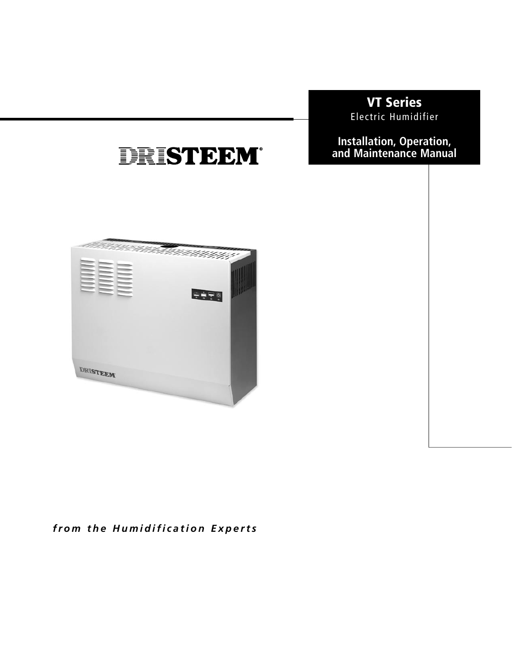# **VT Series** Electric Humidifier

**Installation, Operation,** and Maintenance Manual

# a a mara a mara a fara a fara a fara a fara a fara a fara a fara a fara a fara a fara a fara a fara a fara a  $\frac{1}{2}$ DRISTEEM

DRISTEEM®

# from the **Humidification** Experts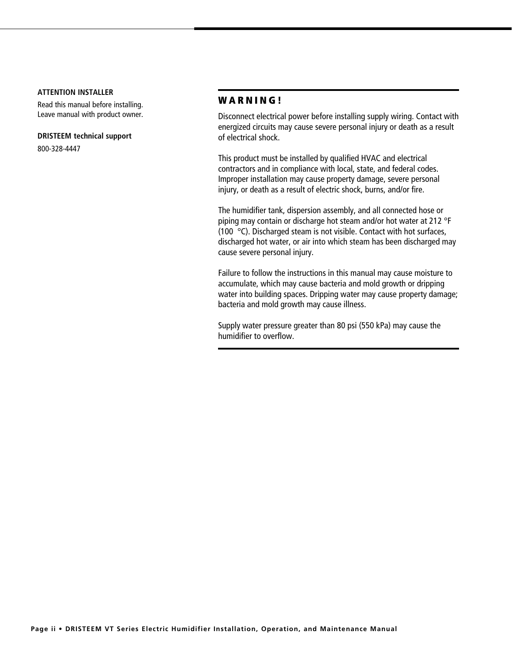#### **ATTENTION INSTALLER**

Read this manual before installing. Leave manual with product owner.

#### **DRISTEEM technical support**

800-328-4447

## **WARNING!**

Disconnect electrical power before installing supply wiring. Contact with energized circuits may cause severe personal injury or death as a result of electrical shock.

This product must be installed by qualified HVAC and electrical contractors and in compliance with local, state, and federal codes. Improper installation may cause property damage, severe personal injury, or death as a result of electric shock, burns, and/or fire.

The humidifier tank, dispersion assembly, and all connected hose or piping may contain or discharge hot steam and/or hot water at 212 °F (100 °C). Discharged steam is not visible. Contact with hot surfaces, discharged hot water, or air into which steam has been discharged may cause severe personal injury.

Failure to follow the instructions in this manual may cause moisture to accumulate, which may cause bacteria and mold growth or dripping water into building spaces. Dripping water may cause property damage; bacteria and mold growth may cause illness.

Supply water pressure greater than 80 psi (550 kPa) may cause the humidifier to overflow.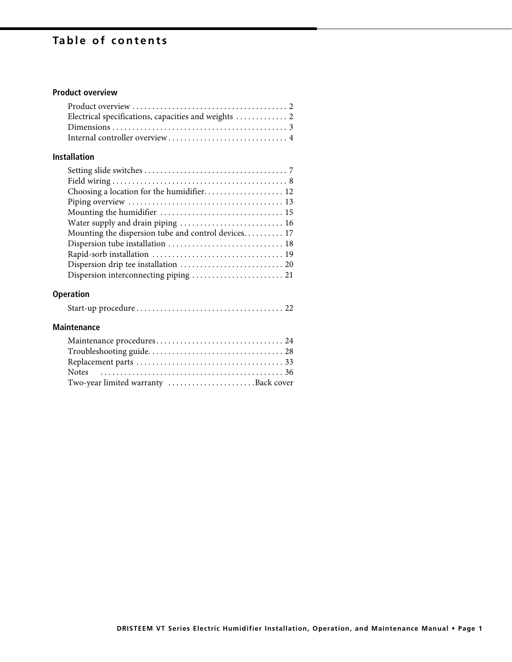# Table of contents

# **Product overview**

# **Installation**

| Water supply and drain piping  16                    |  |
|------------------------------------------------------|--|
| Mounting the dispersion tube and control devices. 17 |  |
|                                                      |  |
|                                                      |  |
|                                                      |  |
| Dispersion interconnecting piping  21                |  |
|                                                      |  |

# **Operation**

|--|--|--|

# **Maintenance**

| Two-year limited warranty Back cover |  |
|--------------------------------------|--|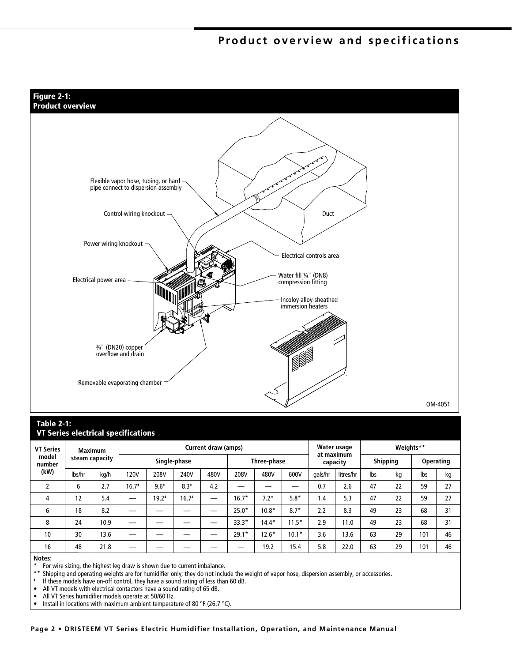# Product overview and specifications



#### **Table 2-1: VT Series electrical specifications**

| <b>VT Series</b>        | <b>Maximum</b><br>steam capacity |      | Current draw (amps) |         |         |             |         | Water usage            |         | Weights**       |           |           |    |     |    |
|-------------------------|----------------------------------|------|---------------------|---------|---------|-------------|---------|------------------------|---------|-----------------|-----------|-----------|----|-----|----|
| model<br>number<br>(kW) |                                  |      | Single-phase        |         |         | Three-phase |         | at maximum<br>capacity |         | <b>Shipping</b> |           | Operating |    |     |    |
|                         | lbs/hr                           | kg/h | <b>120V</b>         | 208V    | 240V    | 480V        | 208V    | 480V                   | 600V    | gals/hr         | litres/hr | lbs       | kg | lbs | kg |
|                         | 6                                | 2.7  | $16.7*$             | $9.6*$  | $8.3*$  | 4.2         |         |                        |         | 0.7             | 2.6       | 47        | 22 | 59  | 27 |
| 4                       | 12                               | 5.4  |                     | $19.2*$ | $16.7*$ | -           | $.6.7*$ | $7.2*$                 | $5.8*$  | 1.4             | 5.3       | 47        | 22 | 59  | 27 |
| 6                       | 18                               | 8.2  |                     |         |         |             | $25.0*$ | $10.8*$                | $8.7*$  | 2.2             | 8.3       | 49        | 23 | 68  | 31 |
| 8                       | 24                               | 10.9 |                     |         |         |             | $33.3*$ | $14.4*$                | $11.5*$ | 2.9             | 11.0      | 49        | 23 | 68  | 31 |
| 10                      | 30                               | 13.6 |                     |         |         |             | $29.1*$ | $12.6*$                | $10.1*$ | 3.6             | 13.6      | 63        | 29 | 101 | 46 |
| 16                      | 48                               | 21.8 |                     |         |         |             |         | 19.2                   | 15.4    | 5.8             | 22.0      | 63        | 29 | 101 | 46 |

#### Notes:

For wire sizing, the highest leg draw is shown due to current imbalance.

 $\star \star$ Shipping and operating weights are for humidifier only; they do not include the weight of vapor hose, dispersion assembly, or accessories.

<sup>#</sup> If these models have on-off control, they have a sound rating of less than 60 dB.

 $\bullet$ All VT models with electrical contactors have a sound rating of 65 dB.

 $\bullet$ All VT Series humidifier models operate at 50/60 Hz.

 $\bullet$ Install in locations with maximum ambient temperature of 80 °F (26.7 °C).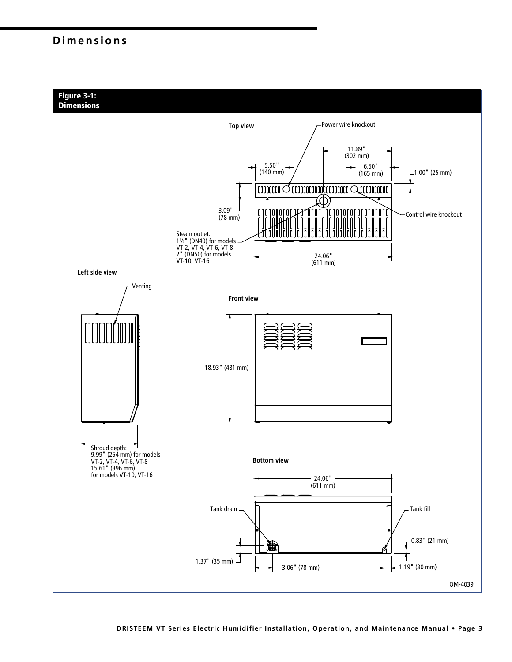# **Dimensions**

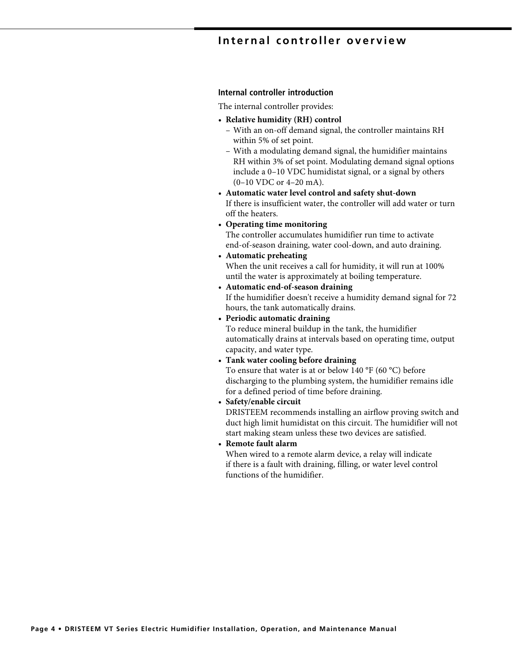# Internal controller overview

#### Internal controller introduction

The internal controller provides:

- Relative humidity (RH) control
	- With an on-off demand signal, the controller maintains RH within 5% of set point.
	- With a modulating demand signal, the humidifier maintains RH within 3% of set point. Modulating demand signal options include a 0-10 VDC humidistat signal, or a signal by others (0-10 VDC or 4-20 mA).
- Automatic water level control and safety shut-down If there is insufficient water, the controller will add water or turn off the heaters.
- Operating time monitoring

The controller accumulates humidifier run time to activate end-of-season draining, water cool-down, and auto draining.

• Automatic preheating

When the unit receives a call for humidity, it will run at 100% until the water is approximately at boiling temperature.

- Automatic end-of-season draining If the humidifier doesn't receive a humidity demand signal for 72 hours, the tank automatically drains.
- Periodic automatic draining

To reduce mineral buildup in the tank, the humidifier automatically drains at intervals based on operating time, output capacity, and water type.

• Tank water cooling before draining To ensure that water is at or below 140 °F (60 °C) before

discharging to the plumbing system, the humidifier remains idle for a defined period of time before draining.

• Safety/enable circuit

DRISTEEM recommends installing an airflow proving switch and duct high limit humidistat on this circuit. The humidifier will not start making steam unless these two devices are satisfied.

• Remote fault alarm

When wired to a remote alarm device, a relay will indicate if there is a fault with draining, filling, or water level control functions of the humidifier.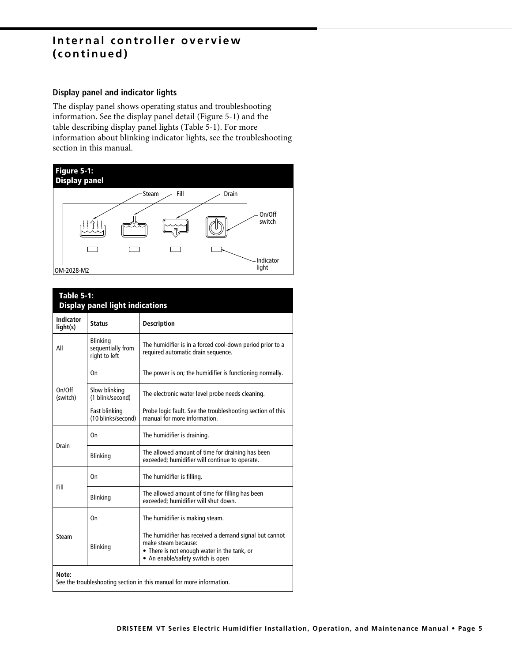# Internal controller overview (continued)

# **Display panel and indicator lights**

The display panel shows operating status and troubleshooting information. See the display panel detail (Figure 5-1) and the table describing display panel lights (Table 5-1). For more information about blinking indicator lights, see the troubleshooting section in this manual.



| <b>Table 5-1:</b><br><b>Display panel light indications</b> |                                                       |                                                                                                                                                                   |  |  |  |  |  |
|-------------------------------------------------------------|-------------------------------------------------------|-------------------------------------------------------------------------------------------------------------------------------------------------------------------|--|--|--|--|--|
| <b>Indicator</b><br>light(s)                                | <b>Status</b>                                         | <b>Description</b>                                                                                                                                                |  |  |  |  |  |
| All                                                         | <b>Blinking</b><br>sequentially from<br>right to left | The humidifier is in a forced cool-down period prior to a<br>required automatic drain sequence.                                                                   |  |  |  |  |  |
|                                                             | On                                                    | The power is on; the humidifier is functioning normally.                                                                                                          |  |  |  |  |  |
| On/Off<br>(switch)                                          | Slow blinking<br>(1 blink/second)                     | The electronic water level probe needs cleaning.                                                                                                                  |  |  |  |  |  |
|                                                             | Fast blinking<br>(10 blinks/second)                   | Probe logic fault. See the troubleshooting section of this<br>manual for more information.                                                                        |  |  |  |  |  |
|                                                             | On                                                    | The humidifier is draining.                                                                                                                                       |  |  |  |  |  |
| Drain                                                       | <b>Blinking</b>                                       | The allowed amount of time for draining has been<br>exceeded; humidifier will continue to operate.                                                                |  |  |  |  |  |
|                                                             | 0n                                                    | The humidifier is filling.                                                                                                                                        |  |  |  |  |  |
| Fill                                                        | <b>Blinking</b>                                       | The allowed amount of time for filling has been<br>exceeded; humidifier will shut down.                                                                           |  |  |  |  |  |
|                                                             | On                                                    | The humidifier is making steam.                                                                                                                                   |  |  |  |  |  |
| Steam                                                       | <b>Blinking</b>                                       | The humidifier has received a demand signal but cannot<br>make steam because:<br>• There is not enough water in the tank, or<br>• An enable/safety switch is open |  |  |  |  |  |
| Note:                                                       |                                                       | See the troubleshooting section in this manual for more information.                                                                                              |  |  |  |  |  |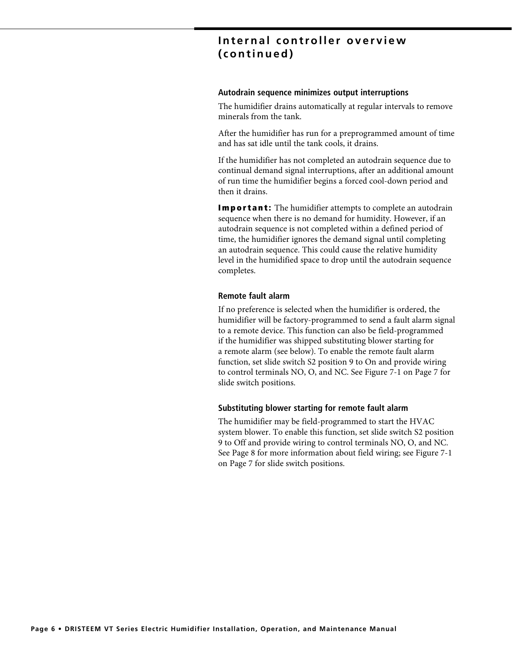# Internal controller overview (continued)

#### Autodrain sequence minimizes output interruptions

The humidifier drains automatically at regular intervals to remove minerals from the tank.

After the humidifier has run for a preprogrammed amount of time and has sat idle until the tank cools, it drains.

If the humidifier has not completed an autodrain sequence due to continual demand signal interruptions, after an additional amount of run time the humidifier begins a forced cool-down period and then it drains.

**Important:** The humidifier attempts to complete an autodrain sequence when there is no demand for humidity. However, if an autodrain sequence is not completed within a defined period of time, the humidifier ignores the demand signal until completing an autodrain sequence. This could cause the relative humidity level in the humidified space to drop until the autodrain sequence completes.

#### **Remote fault alarm**

If no preference is selected when the humidifier is ordered, the humidifier will be factory-programmed to send a fault alarm signal to a remote device. This function can also be field-programmed if the humidifier was shipped substituting blower starting for a remote alarm (see below). To enable the remote fault alarm function, set slide switch S2 position 9 to On and provide wiring to control terminals NO, O, and NC. See Figure 7-1 on Page 7 for slide switch positions.

## Substituting blower starting for remote fault alarm

The humidifier may be field-programmed to start the HVAC system blower. To enable this function, set slide switch S2 position 9 to Off and provide wiring to control terminals NO, O, and NC. See Page 8 for more information about field wiring; see Figure 7-1 on Page 7 for slide switch positions.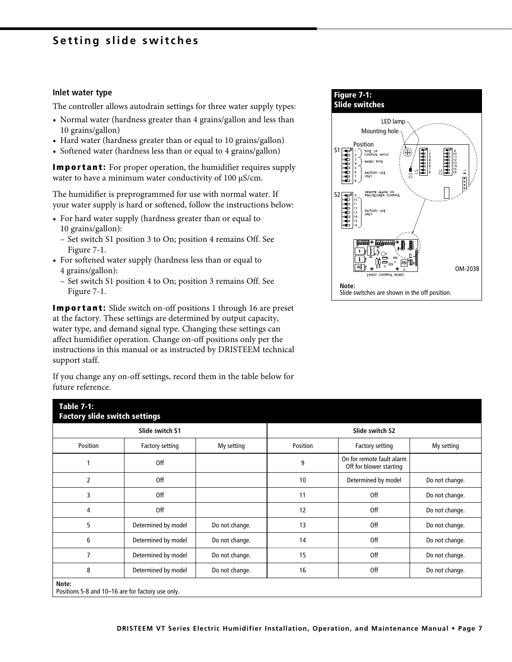# Setting slide switches

#### Inlet water type

The controller allows autodrain settings for three water supply types:

- Normal water (hardness greater than 4 grains/gallon and less than 10 grains/gallon)
- Hard water (hardness greater than or equal to 10 grains/gallon)
- Softened water (hardness less than or equal to 4 grains/gallon)

**Important:** For proper operation, the humidifier requires supply water to have a minimum water conductivity of 100 µS/cm.

The humidifier is preprogrammed for use with normal water. If your water supply is hard or softened, follow the instructions below:

- For hard water supply (hardness greater than or equal to 10 grains/gallon):
	- Set switch S1 position 3 to On; position 4 remains Off. See Figure 7-1.
- For softened water supply (hardness less than or equal to 4 grains/gallon):
	- Set switch S1 position 4 to On; position 3 remains Off. See Figure 7-1.

**Important:** Slide switch on-off positions 1 through 16 are preset at the factory. These settings are determined by output capacity, water type, and demand signal type. Changing these settings can affect humidifier operation. Change on-off positions only per the instructions in this manual or as instructed by DRISTEEM technical support staff.

If you change any on-off settings, record them in the table below for future reference.



| <b>Table 7-1:</b> | <b>Factory slide switch settings</b>              |                |                 |                                                      |                |  |  |  |  |  |
|-------------------|---------------------------------------------------|----------------|-----------------|------------------------------------------------------|----------------|--|--|--|--|--|
|                   | Slide switch S1                                   |                | Slide switch S2 |                                                      |                |  |  |  |  |  |
| Position          | Factory setting                                   | My setting     | Position        | Factory setting                                      | My setting     |  |  |  |  |  |
|                   | <b>Off</b>                                        |                | 9               | On for remote fault alarm<br>Off for blower starting |                |  |  |  |  |  |
| $\overline{2}$    | Off                                               |                | 10              | Determined by model                                  | Do not change. |  |  |  |  |  |
| 3                 | Off                                               |                | 11              | Off                                                  | Do not change. |  |  |  |  |  |
| 4                 | Off                                               |                | 12              | Off                                                  | Do not change. |  |  |  |  |  |
| 5                 | Determined by model                               | Do not change. | 13              | Off                                                  | Do not change. |  |  |  |  |  |
| 6                 | Determined by model                               | Do not change. | 14              | Off                                                  | Do not change. |  |  |  |  |  |
| $\overline{7}$    | Determined by model                               | Do not change. | 15              | Off                                                  | Do not change. |  |  |  |  |  |
| 8                 | Determined by model                               | Do not change. | 16              | Off                                                  | Do not change. |  |  |  |  |  |
| Note:             | Positions 5-8 and 10-16 are for factory use only. |                |                 |                                                      |                |  |  |  |  |  |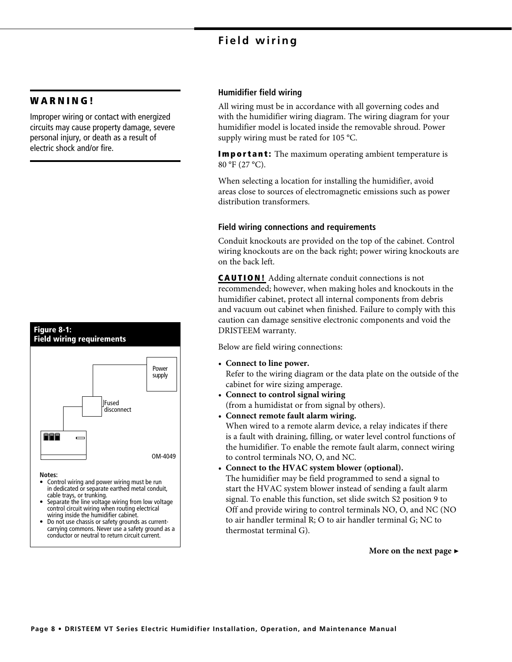# Field wiring

# **WARNING!**

Figure 8-1:

Improper wiring or contact with energized circuits may cause property damage, severe personal injury, or death as a result of electric shock and/or fire.



- cable trays, or trunking.<br>Separate the line voltage wiring from low voltage control circuit wiring when routing electrical wiring inside the humidifier cabinet.
- Do not use chassis or safety grounds as currentcarrying commons. Never use a safety ground as a conductor or neutral to return circuit current.

# **Humidifier field wiring**

All wiring must be in accordance with all governing codes and with the humidifier wiring diagram. The wiring diagram for your humidifier model is located inside the removable shroud. Power supply wiring must be rated for 105 °C.

**Important:** The maximum operating ambient temperature is 80 °F (27 °C).

When selecting a location for installing the humidifier, avoid areas close to sources of electromagnetic emissions such as power distribution transformers.

# **Field wiring connections and requirements**

Conduit knockouts are provided on the top of the cabinet. Control wiring knockouts are on the back right; power wiring knockouts are on the back left.

**CAUTION!** Adding alternate conduit connections is not recommended; however, when making holes and knockouts in the humidifier cabinet, protect all internal components from debris and vacuum out cabinet when finished. Failure to comply with this caution can damage sensitive electronic components and void the DRISTEEM warranty.

Below are field wiring connections:

• Connect to line power.

Refer to the wiring diagram or the data plate on the outside of the cabinet for wire sizing amperage.

- Connect to control signal wiring (from a humidistat or from signal by others).
- Connect remote fault alarm wiring.

When wired to a remote alarm device, a relay indicates if there is a fault with draining, filling, or water level control functions of the humidifier. To enable the remote fault alarm, connect wiring to control terminals NO, O, and NC.

• Connect to the HVAC system blower (optional). The humidifier may be field programmed to send a signal to start the HVAC system blower instead of sending a fault alarm signal. To enable this function, set slide switch S2 position 9 to Off and provide wiring to control terminals NO, O, and NC (NO to air handler terminal R; O to air handler terminal G; NC to thermostat terminal G).

More on the next page  $\blacktriangleright$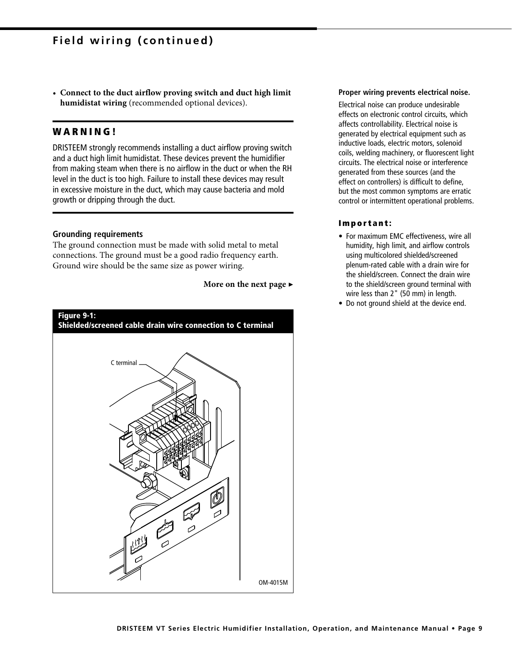• Connect to the duct airflow proving switch and duct high limit humidistat wiring (recommended optional devices).

# **WARNING!**

DRISTEEM strongly recommends installing a duct airflow proving switch and a duct high limit humidistat. These devices prevent the humidifier from making steam when there is no airflow in the duct or when the RH level in the duct is too high. Failure to install these devices may result in excessive moisture in the duct, which may cause bacteria and mold growth or dripping through the duct.

#### **Grounding requirements**

The ground connection must be made with solid metal to metal connections. The ground must be a good radio frequency earth. Ground wire should be the same size as power wiring.

# More on the next page  $\blacktriangleright$



#### Proper wiring prevents electrical noise.

Electrical noise can produce undesirable effects on electronic control circuits, which affects controllability. Electrical noise is generated by electrical equipment such as inductive loads, electric motors, solenoid coils, welding machinery, or fluorescent light circuits. The electrical noise or interference generated from these sources (and the effect on controllers) is difficult to define. but the most common symptoms are erratic control or intermittent operational problems.

#### Important:

- For maximum EMC effectiveness, wire all humidity, high limit, and airflow controls using multicolored shielded/screened plenum-rated cable with a drain wire for the shield/screen. Connect the drain wire to the shield/screen ground terminal with wire less than 2" (50 mm) in length.
- Do not ground shield at the device end.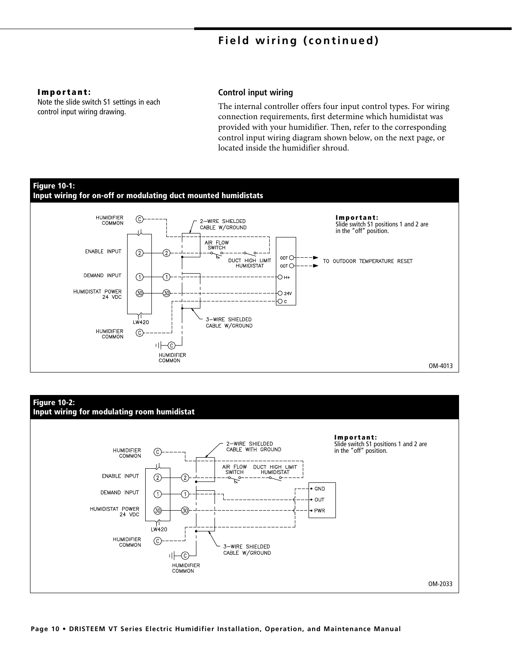#### Important:

Note the slide switch S1 settings in each control input wiring drawing.

## **Control input wiring**

The internal controller offers four input control types. For wiring connection requirements, first determine which humidistat was provided with your humidifier. Then, refer to the corresponding control input wiring diagram shown below, on the next page, or located inside the humidifier shroud.



## **Figure 10-2:** Input wiring for modulating room humidistat

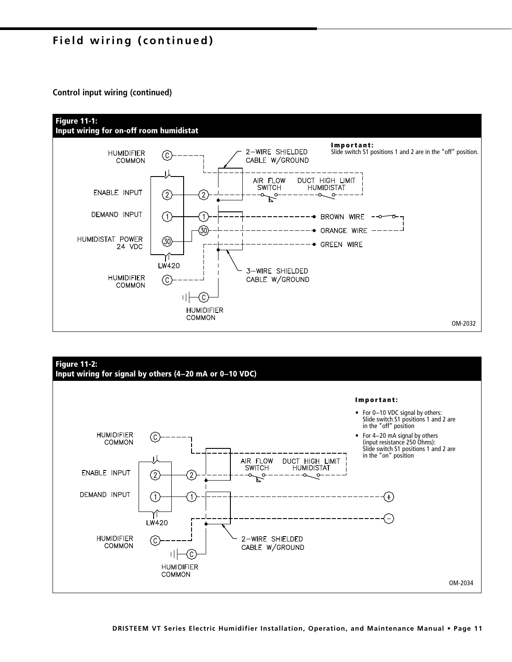# Field wiring (continued)

**Control input wiring (continued)** 



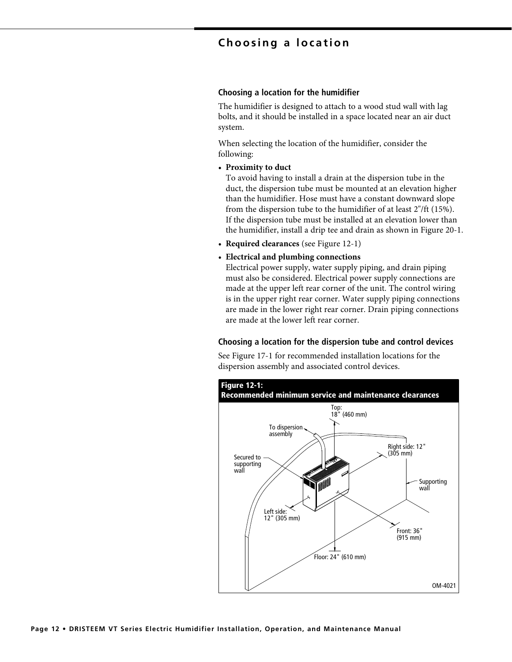# Choosing a location

## Choosing a location for the humidifier

The humidifier is designed to attach to a wood stud wall with lag bolts, and it should be installed in a space located near an air duct system.

When selecting the location of the humidifier, consider the following:

• Proximity to duct

To avoid having to install a drain at the dispersion tube in the duct, the dispersion tube must be mounted at an elevation higher than the humidifier. Hose must have a constant downward slope from the dispersion tube to the humidifier of at least 2"/ft (15%). If the dispersion tube must be installed at an elevation lower than the humidifier, install a drip tee and drain as shown in Figure 20-1.

- Required clearances (see Figure 12-1)
- Electrical and plumbing connections

Electrical power supply, water supply piping, and drain piping must also be considered. Electrical power supply connections are made at the upper left rear corner of the unit. The control wiring is in the upper right rear corner. Water supply piping connections are made in the lower right rear corner. Drain piping connections are made at the lower left rear corner.

#### Choosing a location for the dispersion tube and control devices

See Figure 17-1 for recommended installation locations for the dispersion assembly and associated control devices.

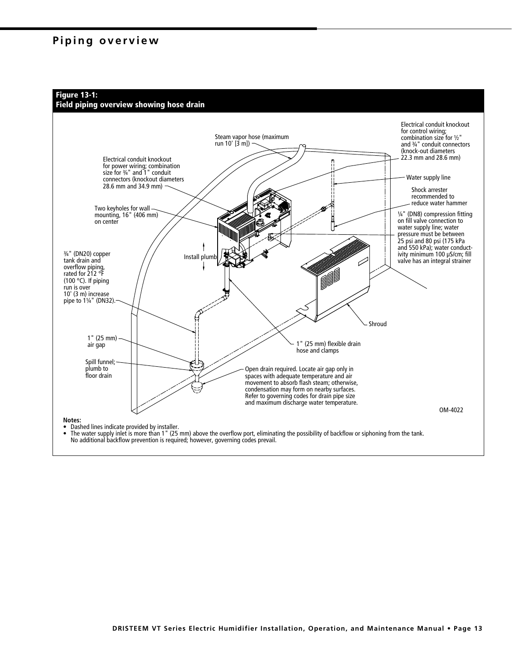# Piping overview



# Field piping overview showing hose drain

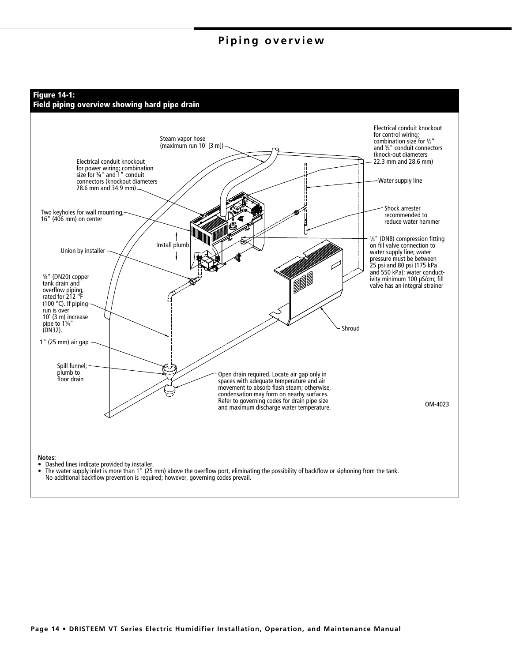# Piping overview

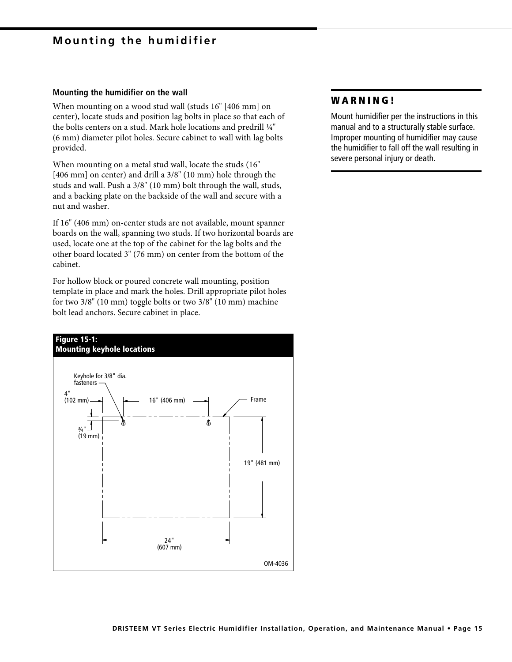# **Mounting the humidifier**

#### Mounting the humidifier on the wall

When mounting on a wood stud wall (studs 16" [406 mm] on center), locate studs and position lag bolts in place so that each of the bolts centers on a stud. Mark hole locations and predrill 1/4" (6 mm) diameter pilot holes. Secure cabinet to wall with lag bolts provided.

When mounting on a metal stud wall, locate the studs (16" [406 mm] on center) and drill a 3/8" (10 mm) hole through the studs and wall. Push a 3/8" (10 mm) bolt through the wall, studs, and a backing plate on the backside of the wall and secure with a nut and washer.

If 16" (406 mm) on-center studs are not available, mount spanner boards on the wall, spanning two studs. If two horizontal boards are used, locate one at the top of the cabinet for the lag bolts and the other board located 3" (76 mm) on center from the bottom of the cabinet.

For hollow block or poured concrete wall mounting, position template in place and mark the holes. Drill appropriate pilot holes for two  $3/8$ " (10 mm) toggle bolts or two  $3/8$ " (10 mm) machine bolt lead anchors. Secure cabinet in place.



# **WARNING!**

Mount humidifier per the instructions in this manual and to a structurally stable surface. Improper mounting of humidifier may cause the humidifier to fall off the wall resulting in severe personal injury or death.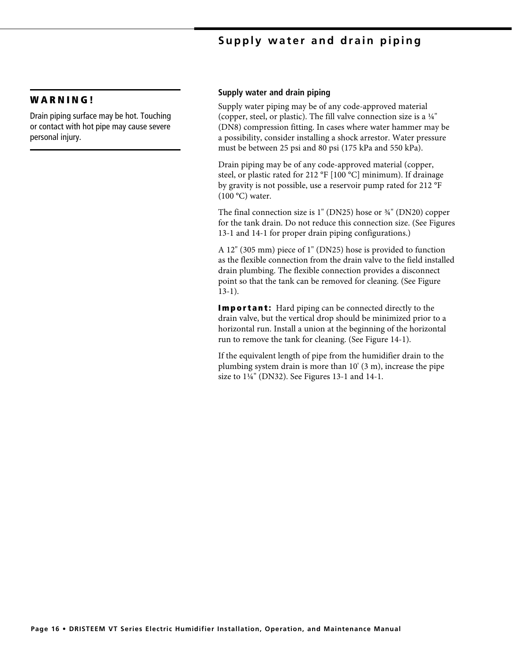# Supply water and drain piping

# **WARNING!**

Drain piping surface may be hot. Touching or contact with hot pipe may cause severe personal injury.

## Supply water and drain piping

Supply water piping may be of any code-approved material (copper, steel, or plastic). The fill valve connection size is a  $\frac{1}{4}$ " (DN8) compression fitting. In cases where water hammer may be a possibility, consider installing a shock arrestor. Water pressure must be between 25 psi and 80 psi (175 kPa and 550 kPa).

Drain piping may be of any code-approved material (copper, steel, or plastic rated for 212 °F [100 °C] minimum). If drainage by gravity is not possible, use a reservoir pump rated for 212 °F  $(100 °C)$  water.

The final connection size is  $1$ " (DN25) hose or  $\frac{3}{4}$ " (DN20) copper for the tank drain. Do not reduce this connection size. (See Figures 13-1 and 14-1 for proper drain piping configurations.)

A 12" (305 mm) piece of 1" (DN25) hose is provided to function as the flexible connection from the drain valve to the field installed drain plumbing. The flexible connection provides a disconnect point so that the tank can be removed for cleaning. (See Figure  $13-1$ ).

**Important:** Hard piping can be connected directly to the drain valve, but the vertical drop should be minimized prior to a horizontal run. Install a union at the beginning of the horizontal run to remove the tank for cleaning. (See Figure 14-1).

If the equivalent length of pipe from the humidifier drain to the plumbing system drain is more than  $10'$  (3 m), increase the pipe size to 1¼" (DN32). See Figures 13-1 and 14-1.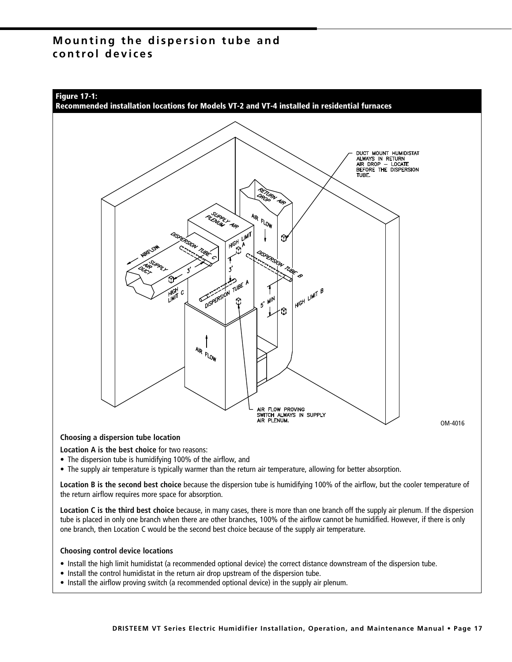# Mounting the dispersion tube and control devices



Location A is the best choice for two reasons:

- The dispersion tube is humidifying 100% of the airflow, and
- The supply air temperature is typically warmer than the return air temperature, allowing for better absorption.

Location B is the second best choice because the dispersion tube is humidifying 100% of the airflow, but the cooler temperature of the return airflow requires more space for absorption.

Location C is the third best choice because, in many cases, there is more than one branch off the supply air plenum. If the dispersion tube is placed in only one branch when there are other branches, 100% of the airflow cannot be humidified. However, if there is only one branch, then Location C would be the second best choice because of the supply air temperature.

#### **Choosing control device locations**

- . Install the high limit humidistat (a recommended optional device) the correct distance downstream of the dispersion tube.
- Install the control humidistat in the return air drop upstream of the dispersion tube.
- Install the airflow proving switch (a recommended optional device) in the supply air plenum.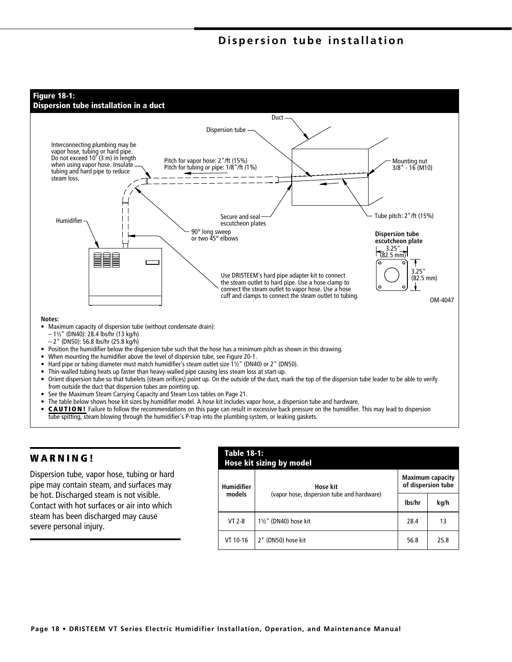# Dispersion tube installation



# **WARNING!**

Dispersion tube, vapor hose, tubing or hard pipe may contain steam, and surfaces may be hot. Discharged steam is not visible. Contact with hot surfaces or air into which steam has been discharged may cause severe personal injury.

| <b>Table 18-1:</b><br><b>Hose kit sizing by model</b> |                                            |                                               |      |  |  |  |  |  |
|-------------------------------------------------------|--------------------------------------------|-----------------------------------------------|------|--|--|--|--|--|
| Humidifier                                            | Hose kit                                   | <b>Maximum capacity</b><br>of dispersion tube |      |  |  |  |  |  |
| models                                                | (vapor hose, dispersion tube and hardware) | lbs/hr                                        | kg/h |  |  |  |  |  |
| $VT 2-8$                                              | $1\frac{1}{2}$ " (DN40) hose kit           | 28.4                                          | 13   |  |  |  |  |  |
| VT 10-16                                              | 2" (DN50) hose kit                         | 56.8                                          | 25.8 |  |  |  |  |  |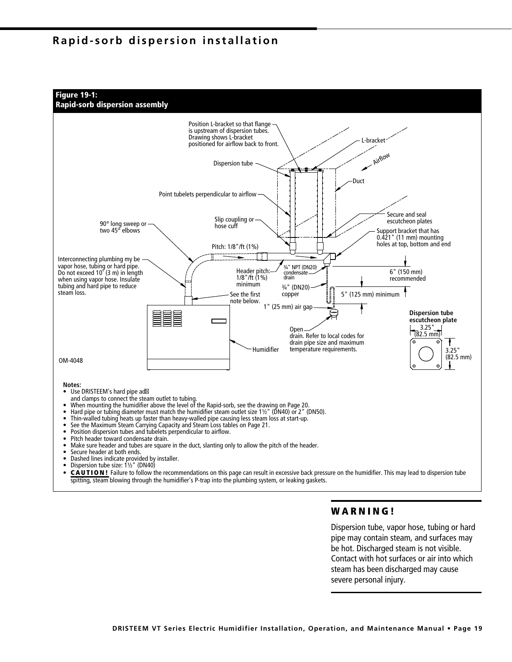# Rapid-sorb dispersion installation







# **WARNING!**

Dispersion tube, vapor hose, tubing or hard pipe may contain steam, and surfaces may be hot. Discharged steam is not visible. Contact with hot surfaces or air into which steam has been discharged may cause severe personal injury.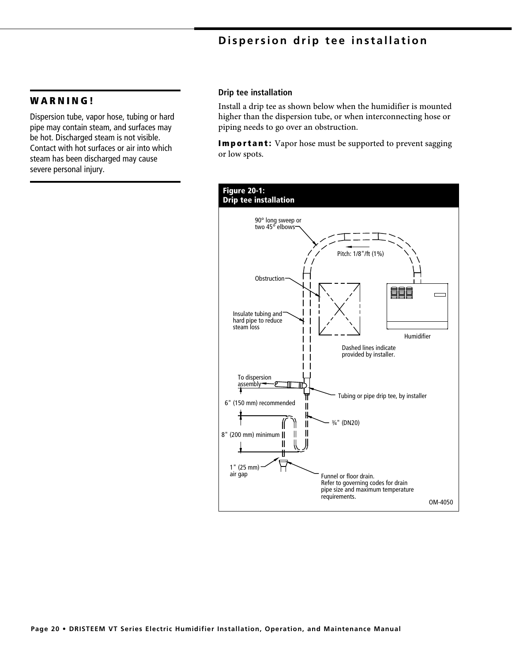# Dispersion drip tee installation

# **WARNING!**

Dispersion tube, vapor hose, tubing or hard pipe may contain steam, and surfaces may be hot. Discharged steam is not visible. Contact with hot surfaces or air into which steam has been discharged may cause severe personal injury.

#### Drip tee installation

Install a drip tee as shown below when the humidifier is mounted higher than the dispersion tube, or when interconnecting hose or piping needs to go over an obstruction.

**Important:** Vapor hose must be supported to prevent sagging or low spots.

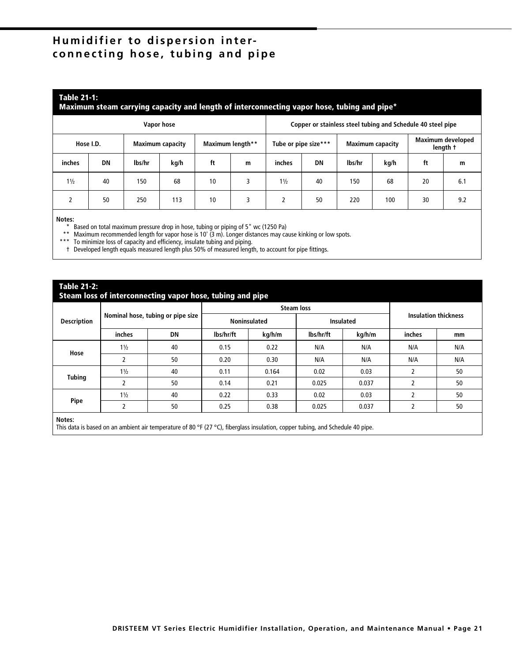# Humidifier to dispersion interconnecting hose, tubing and pipe

## **Table 21-1:**

#### Maximum steam carrying capacity and length of interconnecting vapor hose, tubing and pipe\*

| Vapor hose     |    |                         |      |                  | Copper or stainless steel tubing and Schedule 40 steel pipe |                      |    |                         |      |    |                                      |
|----------------|----|-------------------------|------|------------------|-------------------------------------------------------------|----------------------|----|-------------------------|------|----|--------------------------------------|
| Hose I.D.      |    | <b>Maximum capacity</b> |      | Maximum length** |                                                             | Tube or pipe size*** |    | <b>Maximum capacity</b> |      |    | <b>Maximum developed</b><br>length t |
| inches         | DN | lbs/hr                  | kg/h | ft               | m                                                           | inches               | DN | lbs/hr                  | kg/h | ft | m                                    |
| $1\frac{1}{2}$ | 40 | 150                     | 68   | 10               |                                                             | $1\frac{1}{2}$       | 40 | 150                     | 68   | 20 | 6.1                                  |
|                | 50 | 250                     | 113  | 10               |                                                             |                      | 50 | 220                     | 100  | 30 | 9.2                                  |

#### Notes:

-------<br>
\* Based on total maximum pressure drop in hose, tubing or piping of 5" wc (1250 Pa)<br>
\*\* Maximum recommended length for vapor hose is 10' (3 m). Longer distances may cause kinking or low spots.<br>
\*\*\* To minimize los

t Developed length equals measured length plus 50% of measured length, to account for pipe fittings.

## **Table 21-2:**

#### Steam loss of interconnecting vapor hose, tubing and pipe

|                    |                |                                   | -         | .<br><b>Steam loss</b> |           |           |                             |     |  |
|--------------------|----------------|-----------------------------------|-----------|------------------------|-----------|-----------|-----------------------------|-----|--|
| <b>Description</b> |                | Nominal hose, tubing or pipe size |           | <b>Noninsulated</b>    |           | Insulated | <b>Insulation thickness</b> |     |  |
|                    | inches         | DN                                | lbs/hr/ft | kg/h/m                 | lbs/hr/ft | kg/h/m    | inches                      | mm  |  |
|                    | $1\frac{1}{2}$ | 40                                | 0.15      | 0.22                   | N/A       | N/A       | N/A                         | N/A |  |
| Hose               | 2              | 50                                | 0.20      | 0.30                   | N/A       | N/A       | N/A                         | N/A |  |
|                    | $1\frac{1}{2}$ | 40                                | 0.11      | 0.164                  | 0.02      | 0.03      |                             | 50  |  |
| <b>Tubing</b>      | 2              | 50                                | 0.14      | 0.21                   | 0.025     | 0.037     | $\overline{2}$              | 50  |  |
| Pipe               | $1\frac{1}{2}$ | 40                                | 0.22      | 0.33                   | 0.02      | 0.03      | $\overline{2}$              | 50  |  |
|                    |                | 50                                | 0.25      | 0.38                   | 0.025     | 0.037     | $\overline{\phantom{a}}$    | 50  |  |
|                    |                |                                   |           |                        |           |           |                             |     |  |

Notes:

This data is based on an ambient air temperature of 80 °F (27 °C), fiberglass insulation, copper tubing, and Schedule 40 pipe.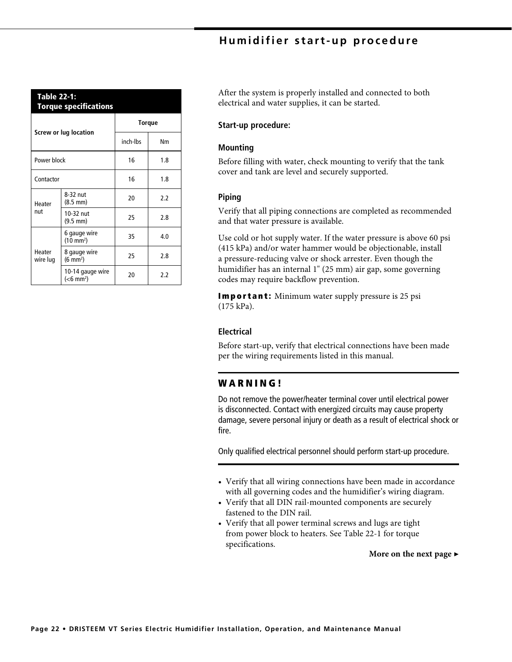# Humidifier start-up procedure

| Table 22-1:<br><b>Torque specifications</b> |                                                  |               |     |  |  |  |  |  |
|---------------------------------------------|--------------------------------------------------|---------------|-----|--|--|--|--|--|
|                                             |                                                  | <b>Torque</b> |     |  |  |  |  |  |
|                                             | Screw or lug location                            | inch-lbs      | Nm  |  |  |  |  |  |
| Power block                                 |                                                  | 16            | 1.8 |  |  |  |  |  |
| Contactor                                   |                                                  | 16            | 1.8 |  |  |  |  |  |
| Heater                                      | 8-32 nut<br>$(8.5 \, \text{mm})$                 | 20            | 2.2 |  |  |  |  |  |
| nut                                         | 10-32 nut<br>$(9.5 \, \text{mm})$                | 25            | 2.8 |  |  |  |  |  |
|                                             | 6 gauge wire<br>$(10 \text{ mm}^2)$              | 35            | 4.0 |  |  |  |  |  |
| Heater<br>wire lug                          | 8 gauge wire<br>$(6 \text{ mm}^2)$               | 25            | 2.8 |  |  |  |  |  |
|                                             | 10-14 gauge wire<br>( <b>6</b> mm <sup>2</sup> ) | 20            | 2.2 |  |  |  |  |  |

After the system is properly installed and connected to both electrical and water supplies, it can be started.

#### Start-up procedure:

## **Mounting**

Before filling with water, check mounting to verify that the tank cover and tank are level and securely supported.

# Piping

Verify that all piping connections are completed as recommended and that water pressure is available.

Use cold or hot supply water. If the water pressure is above 60 psi (415 kPa) and/or water hammer would be objectionable, install a pressure-reducing valve or shock arrester. Even though the humidifier has an internal 1" (25 mm) air gap, some governing codes may require backflow prevention.

**Important:** Minimum water supply pressure is 25 psi  $(175 \text{ kPa})$ .

#### **Electrical**

Before start-up, verify that electrical connections have been made per the wiring requirements listed in this manual.

## **WARNING!**

Do not remove the power/heater terminal cover until electrical power is disconnected. Contact with energized circuits may cause property damage, severe personal injury or death as a result of electrical shock or fire.

Only qualified electrical personnel should perform start-up procedure.

- Verify that all wiring connections have been made in accordance with all governing codes and the humidifier's wiring diagram.
- Verify that all DIN rail-mounted components are securely fastened to the DIN rail.
- Verify that all power terminal screws and lugs are tight from power block to heaters. See Table 22-1 for torque specifications.

More on the next page  $\blacktriangleright$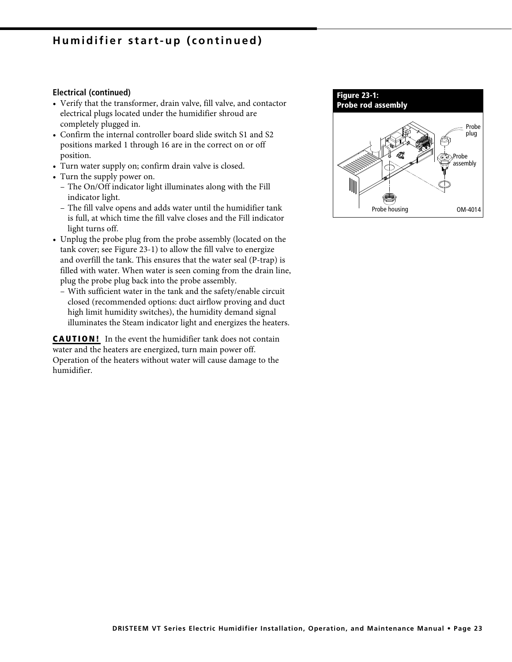# Humidifier start-up (continued)

#### **Electrical (continued)**

- Verify that the transformer, drain valve, fill valve, and contactor electrical plugs located under the humidifier shroud are completely plugged in.
- Confirm the internal controller board slide switch S1 and S2 positions marked 1 through 16 are in the correct on or off position.
- Turn water supply on; confirm drain valve is closed.
- Turn the supply power on.
	- The On/Off indicator light illuminates along with the Fill indicator light.
	- The fill valve opens and adds water until the humidifier tank is full, at which time the fill valve closes and the Fill indicator light turns off.
- Unplug the probe plug from the probe assembly (located on the tank cover; see Figure 23-1) to allow the fill valve to energize and overfill the tank. This ensures that the water seal (P-trap) is filled with water. When water is seen coming from the drain line, plug the probe plug back into the probe assembly.
	- With sufficient water in the tank and the safety/enable circuit closed (recommended options: duct airflow proving and duct high limit humidity switches), the humidity demand signal illuminates the Steam indicator light and energizes the heaters.

**CAUTION!** In the event the humidifier tank does not contain water and the heaters are energized, turn main power off. Operation of the heaters without water will cause damage to the humidifier.

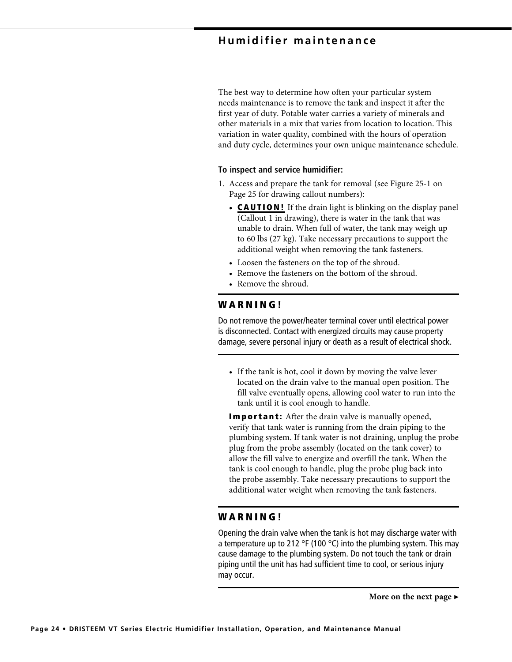# **Humidifier maintenance**

The best way to determine how often your particular system needs maintenance is to remove the tank and inspect it after the first year of duty. Potable water carries a variety of minerals and other materials in a mix that varies from location to location. This variation in water quality, combined with the hours of operation and duty cycle, determines your own unique maintenance schedule.

## To inspect and service humidifier:

- 1. Access and prepare the tank for removal (see Figure 25-1 on Page 25 for drawing callout numbers):
	- **CAUTION!** If the drain light is blinking on the display panel (Callout 1 in drawing), there is water in the tank that was unable to drain. When full of water, the tank may weigh up to 60 lbs (27 kg). Take necessary precautions to support the additional weight when removing the tank fasteners.
	- Loosen the fasteners on the top of the shroud.
	- Remove the fasteners on the bottom of the shroud.
	- Remove the shroud.

## **WARNING!**

Do not remove the power/heater terminal cover until electrical power is disconnected. Contact with energized circuits may cause property damage, severe personal injury or death as a result of electrical shock.

• If the tank is hot, cool it down by moving the valve lever located on the drain valve to the manual open position. The fill valve eventually opens, allowing cool water to run into the tank until it is cool enough to handle.

**Important:** After the drain valve is manually opened, verify that tank water is running from the drain piping to the plumbing system. If tank water is not draining, unplug the probe plug from the probe assembly (located on the tank cover) to allow the fill valve to energize and overfill the tank. When the tank is cool enough to handle, plug the probe plug back into the probe assembly. Take necessary precautions to support the additional water weight when removing the tank fasteners.

# **WARNING!**

Opening the drain valve when the tank is hot may discharge water with a temperature up to 212 °F (100 °C) into the plumbing system. This may cause damage to the plumbing system. Do not touch the tank or drain piping until the unit has had sufficient time to cool, or serious injury may occur.

More on the next page  $\blacktriangleright$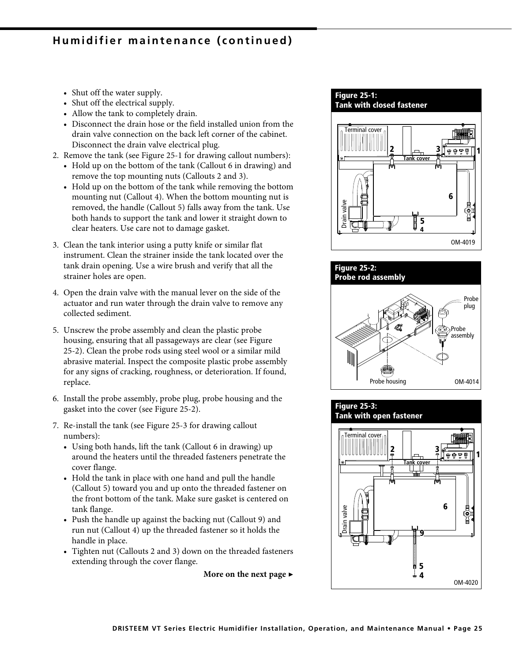# Humidifier maintenance (continued)

- Shut off the water supply.
- Shut off the electrical supply.
- Allow the tank to completely drain.
- Disconnect the drain hose or the field installed union from the drain valve connection on the back left corner of the cabinet. Disconnect the drain valve electrical plug.
- 2. Remove the tank (see Figure 25-1 for drawing callout numbers):
	- Hold up on the bottom of the tank (Callout 6 in drawing) and remove the top mounting nuts (Callouts 2 and 3).
	- Hold up on the bottom of the tank while removing the bottom mounting nut (Callout 4). When the bottom mounting nut is removed, the handle (Callout 5) falls away from the tank. Use both hands to support the tank and lower it straight down to clear heaters. Use care not to damage gasket.
- 3. Clean the tank interior using a putty knife or similar flat instrument. Clean the strainer inside the tank located over the tank drain opening. Use a wire brush and verify that all the strainer holes are open.
- 4. Open the drain valve with the manual lever on the side of the actuator and run water through the drain valve to remove any collected sediment.
- 5. Unscrew the probe assembly and clean the plastic probe housing, ensuring that all passageways are clear (see Figure 25-2). Clean the probe rods using steel wool or a similar mild abrasive material. Inspect the composite plastic probe assembly for any signs of cracking, roughness, or deterioration. If found, replace.
- 6. Install the probe assembly, probe plug, probe housing and the gasket into the cover (see Figure 25-2).
- 7. Re-install the tank (see Figure 25-3 for drawing callout numbers):
	- Using both hands, lift the tank (Callout 6 in drawing) up around the heaters until the threaded fasteners penetrate the cover flange.
	- Hold the tank in place with one hand and pull the handle (Callout 5) toward you and up onto the threaded fastener on the front bottom of the tank. Make sure gasket is centered on tank flange.
	- Push the handle up against the backing nut (Callout 9) and run nut (Callout 4) up the threaded fastener so it holds the handle in place.
	- Tighten nut (Callouts 2 and 3) down on the threaded fasteners extending through the cover flange.

More on the next page  $\blacktriangleright$ 

# **Figure 25-1:**

**Tank with closed fastener** 





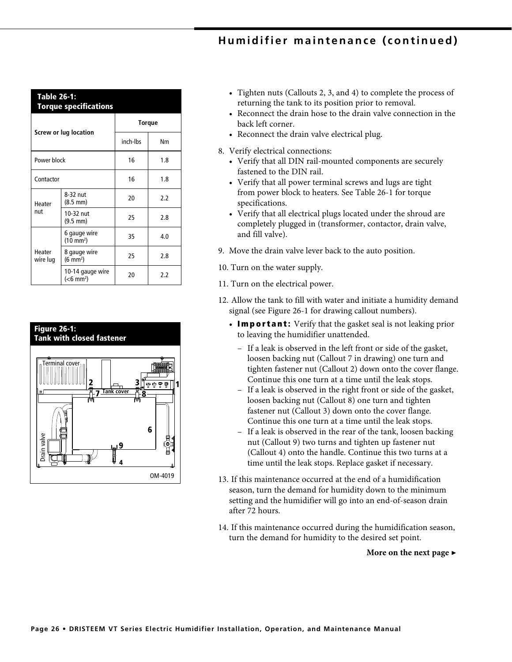# Humidifier maintenance (continued)

| <b>Table 26-1:</b><br><b>Torque specifications</b> |                                                  |               |     |  |  |  |  |  |
|----------------------------------------------------|--------------------------------------------------|---------------|-----|--|--|--|--|--|
|                                                    |                                                  | <b>Torque</b> |     |  |  |  |  |  |
|                                                    | Screw or lug location                            | inch-lbs      | Nm  |  |  |  |  |  |
| Power block                                        |                                                  | 16            | 1.8 |  |  |  |  |  |
| Contactor                                          |                                                  | 16            | 1.8 |  |  |  |  |  |
| Heater                                             | 8-32 nut<br>$(8.5 \text{ mm})$                   | 20            | 2.2 |  |  |  |  |  |
| nut                                                | 10-32 nut<br>$(9.5 \, \text{mm})$                | 25            | 2.8 |  |  |  |  |  |
| Heater<br>wire lug                                 | 6 gauge wire<br>$(10 \text{ mm}^2)$              | 35            | 4.0 |  |  |  |  |  |
|                                                    | 8 gauge wire<br>$(6 \text{ mm}^2)$               | 25            | 2.8 |  |  |  |  |  |
|                                                    | 10-14 gauge wire<br>( <b>6</b> mm <sup>2</sup> ) | 20            | 2.2 |  |  |  |  |  |



- Tighten nuts (Callouts 2, 3, and 4) to complete the process of returning the tank to its position prior to removal.
- Reconnect the drain hose to the drain valve connection in the back left corner.
- Reconnect the drain valve electrical plug.
- 8. Verify electrical connections:
	- Verify that all DIN rail-mounted components are securely fastened to the DIN rail.
	- Verify that all power terminal screws and lugs are tight from power block to heaters. See Table 26-1 for torque specifications.
	- Verify that all electrical plugs located under the shroud are completely plugged in (transformer, contactor, drain valve, and fill valve).
- 9. Move the drain valve lever back to the auto position.
- 10. Turn on the water supply.
- 11. Turn on the electrical power.
- 12. Allow the tank to fill with water and initiate a humidity demand signal (see Figure 26-1 for drawing callout numbers).
	- Important: Verify that the gasket seal is not leaking prior to leaving the humidifier unattended.
		- If a leak is observed in the left front or side of the gasket, loosen backing nut (Callout 7 in drawing) one turn and tighten fastener nut (Callout 2) down onto the cover flange. Continue this one turn at a time until the leak stops.
		- If a leak is observed in the right front or side of the gasket, loosen backing nut (Callout 8) one turn and tighten fastener nut (Callout 3) down onto the cover flange. Continue this one turn at a time until the leak stops.
		- If a leak is observed in the rear of the tank, loosen backing nut (Callout 9) two turns and tighten up fastener nut (Callout 4) onto the handle. Continue this two turns at a time until the leak stops. Replace gasket if necessary.
- 13. If this maintenance occurred at the end of a humidification season, turn the demand for humidity down to the minimum setting and the humidifier will go into an end-of-season drain after 72 hours
- 14. If this maintenance occurred during the humidification season, turn the demand for humidity to the desired set point.

More on the next page  $\blacktriangleright$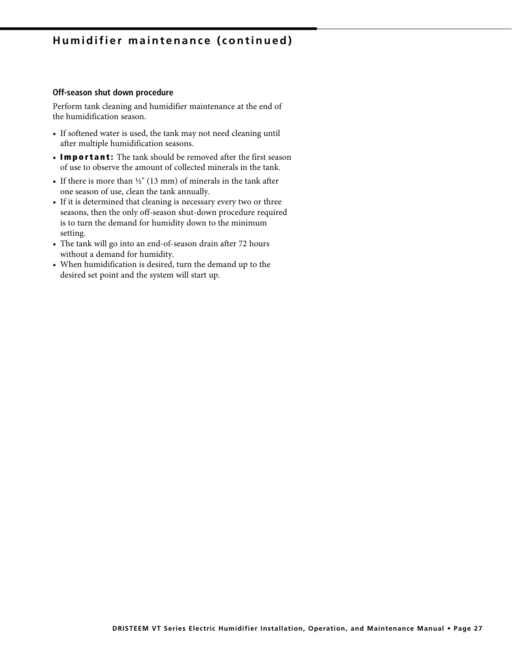# Humidifier maintenance (continued)

#### Off-season shut down procedure

Perform tank cleaning and humidifier maintenance at the end of the humidification season.

- If softened water is used, the tank may not need cleaning until after multiple humidification seasons.
- Important: The tank should be removed after the first season of use to observe the amount of collected minerals in the tank.
- If there is more than  $\frac{1}{2}$ " (13 mm) of minerals in the tank after one season of use, clean the tank annually.
- If it is determined that cleaning is necessary every two or three seasons, then the only off-season shut-down procedure required is to turn the demand for humidity down to the minimum setting.
- The tank will go into an end-of-season drain after 72 hours without a demand for humidity.
- When humidification is desired, turn the demand up to the desired set point and the system will start up.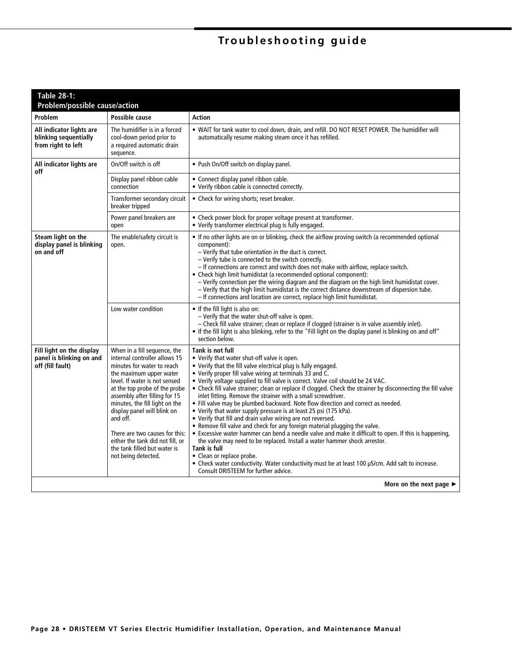# Troubleshooting guide

| Table 28-1:<br><b>Problem/possible cause/action</b>                       |                                                                                                                                                                                                                                                                                                                                                                                                                                     |                                                                                                                                                                                                                                                                                                                                                                                                                                                                                                                                                                                                                                                                                                                                                                                                                                                                                                                                                                                                                                                                                                                                                               |
|---------------------------------------------------------------------------|-------------------------------------------------------------------------------------------------------------------------------------------------------------------------------------------------------------------------------------------------------------------------------------------------------------------------------------------------------------------------------------------------------------------------------------|---------------------------------------------------------------------------------------------------------------------------------------------------------------------------------------------------------------------------------------------------------------------------------------------------------------------------------------------------------------------------------------------------------------------------------------------------------------------------------------------------------------------------------------------------------------------------------------------------------------------------------------------------------------------------------------------------------------------------------------------------------------------------------------------------------------------------------------------------------------------------------------------------------------------------------------------------------------------------------------------------------------------------------------------------------------------------------------------------------------------------------------------------------------|
| Problem                                                                   | Possible cause                                                                                                                                                                                                                                                                                                                                                                                                                      | <b>Action</b>                                                                                                                                                                                                                                                                                                                                                                                                                                                                                                                                                                                                                                                                                                                                                                                                                                                                                                                                                                                                                                                                                                                                                 |
| All indicator lights are<br>blinking sequentially<br>from right to left   | The humidifier is in a forced<br>cool-down period prior to<br>a required automatic drain<br>sequence.                                                                                                                                                                                                                                                                                                                               | . WAIT for tank water to cool down, drain, and refill. DO NOT RESET POWER. The humidifier will<br>automatically resume making steam once it has refilled.                                                                                                                                                                                                                                                                                                                                                                                                                                                                                                                                                                                                                                                                                                                                                                                                                                                                                                                                                                                                     |
| All indicator lights are<br>off                                           | On/Off switch is off                                                                                                                                                                                                                                                                                                                                                                                                                | • Push On/Off switch on display panel.                                                                                                                                                                                                                                                                                                                                                                                                                                                                                                                                                                                                                                                                                                                                                                                                                                                                                                                                                                                                                                                                                                                        |
|                                                                           | Display panel ribbon cable<br>connection                                                                                                                                                                                                                                                                                                                                                                                            | • Connect display panel ribbon cable.<br>• Verify ribbon cable is connected correctly.                                                                                                                                                                                                                                                                                                                                                                                                                                                                                                                                                                                                                                                                                                                                                                                                                                                                                                                                                                                                                                                                        |
|                                                                           | Transformer secondary circuit<br>breaker tripped                                                                                                                                                                                                                                                                                                                                                                                    | • Check for wiring shorts; reset breaker.                                                                                                                                                                                                                                                                                                                                                                                                                                                                                                                                                                                                                                                                                                                                                                                                                                                                                                                                                                                                                                                                                                                     |
|                                                                           | Power panel breakers are<br>open                                                                                                                                                                                                                                                                                                                                                                                                    | • Check power block for proper voltage present at transformer.<br>• Verify transformer electrical plug is fully engaged.                                                                                                                                                                                                                                                                                                                                                                                                                                                                                                                                                                                                                                                                                                                                                                                                                                                                                                                                                                                                                                      |
| Steam light on the<br>display panel is blinking<br>on and off             | The enable/safety circuit is<br>open.                                                                                                                                                                                                                                                                                                                                                                                               | • If no other lights are on or blinking, check the airflow proving switch (a recommended optional<br>component):<br>- Verify that tube orientation in the duct is correct.<br>- Verify tube is connected to the switch correctly.<br>- If connections are correct and switch does not make with airflow, replace switch.<br>• Check high limit humidistat (a recommended optional component):<br>- Verify connection per the wiring diagram and the diagram on the high limit humidistat cover.<br>- Verify that the high limit humidistat is the correct distance downstream of dispersion tube.<br>- If connections and location are correct, replace high limit humidistat.                                                                                                                                                                                                                                                                                                                                                                                                                                                                                |
|                                                                           | Low water condition                                                                                                                                                                                                                                                                                                                                                                                                                 | • If the fill light is also on:<br>- Verify that the water shut-off valve is open.<br>- Check fill valve strainer; clean or replace if clogged (strainer is in valve assembly inlet).<br>• If the fill light is also blinking, refer to the "Fill light on the display panel is blinking on and off"<br>section below.                                                                                                                                                                                                                                                                                                                                                                                                                                                                                                                                                                                                                                                                                                                                                                                                                                        |
| Fill light on the display<br>panel is blinking on and<br>off (fill fault) | When in a fill sequence, the<br>internal controller allows 15<br>minutes for water to reach<br>the maximum upper water<br>level. If water is not sensed<br>at the top probe of the probe<br>assembly after filling for 15<br>minutes, the fill light on the<br>display panel will blink on<br>and off.<br>There are two causes for this:<br>either the tank did not fill, or<br>the tank filled but water is<br>not being detected. | Tank is not full<br>• Verify that water shut-off valve is open.<br>• Verify that the fill valve electrical plug is fully engaged.<br>• Verify proper fill valve wiring at terminals 33 and C.<br>• Verify voltage supplied to fill valve is correct. Valve coil should be 24 VAC.<br>• Check fill valve strainer; clean or replace if clogged. Check the strainer by disconnecting the fill valve<br>inlet fitting. Remove the strainer with a small screwdriver.<br>. Fill valve may be plumbed backward. Note flow direction and correct as needed.<br>• Verify that water supply pressure is at least 25 psi (175 kPa).<br>• Verify that fill and drain valve wiring are not reversed.<br>• Remove fill valve and check for any foreign material plugging the valve.<br>• Excessive water hammer can bend a needle valve and make it difficult to open. If this is happening,<br>the valve may need to be replaced. Install a water hammer shock arrestor.<br><b>Tank is full</b><br>• Clean or replace probe.<br>• Check water conductivity. Water conductivity must be at least 100 µS/cm. Add salt to increase.<br>Consult DRISTEEM for further advice. |
|                                                                           |                                                                                                                                                                                                                                                                                                                                                                                                                                     | More on the next page $\blacktriangleright$                                                                                                                                                                                                                                                                                                                                                                                                                                                                                                                                                                                                                                                                                                                                                                                                                                                                                                                                                                                                                                                                                                                   |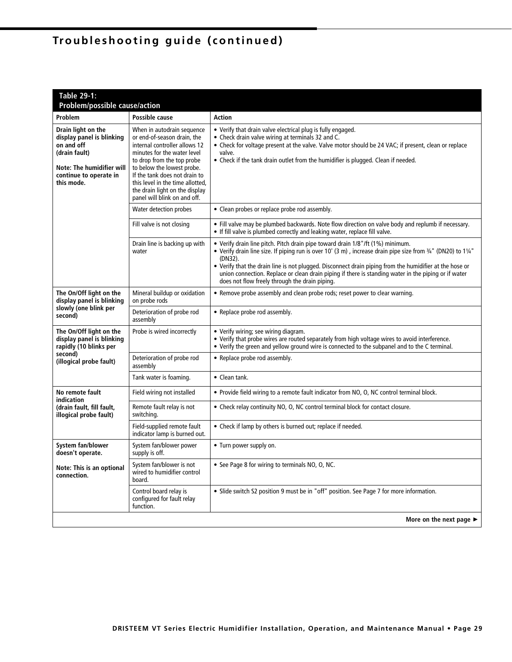| <b>Table 29-1:</b><br>Problem/possible cause/action                                                                                                 |                                                                                                                                                                                                                                                                                                                              |                                                                                                                                                                                                                                                                                                                                                                                                                                                                                 |  |  |
|-----------------------------------------------------------------------------------------------------------------------------------------------------|------------------------------------------------------------------------------------------------------------------------------------------------------------------------------------------------------------------------------------------------------------------------------------------------------------------------------|---------------------------------------------------------------------------------------------------------------------------------------------------------------------------------------------------------------------------------------------------------------------------------------------------------------------------------------------------------------------------------------------------------------------------------------------------------------------------------|--|--|
| Problem                                                                                                                                             | Possible cause                                                                                                                                                                                                                                                                                                               | <b>Action</b>                                                                                                                                                                                                                                                                                                                                                                                                                                                                   |  |  |
| Drain light on the<br>display panel is blinking<br>on and off<br>(drain fault)<br>Note: The humidifier will<br>continue to operate in<br>this mode. | When in autodrain sequence<br>or end-of-season drain, the<br>internal controller allows 12<br>minutes for the water level<br>to drop from the top probe<br>to below the lowest probe.<br>If the tank does not drain to<br>this level in the time allotted,<br>the drain light on the display<br>panel will blink on and off. | • Verify that drain valve electrical plug is fully engaged.<br>• Check drain valve wiring at terminals 32 and C.<br>• Check for voltage present at the valve. Valve motor should be 24 VAC; if present, clean or replace<br>valve.<br>• Check if the tank drain outlet from the humidifier is plugged. Clean if needed.                                                                                                                                                         |  |  |
|                                                                                                                                                     | Water detection probes                                                                                                                                                                                                                                                                                                       | • Clean probes or replace probe rod assembly.                                                                                                                                                                                                                                                                                                                                                                                                                                   |  |  |
|                                                                                                                                                     | Fill valve is not closing                                                                                                                                                                                                                                                                                                    | • Fill valve may be plumbed backwards. Note flow direction on valve body and replumb if necessary.<br>• If fill valve is plumbed correctly and leaking water, replace fill valve.                                                                                                                                                                                                                                                                                               |  |  |
|                                                                                                                                                     | Drain line is backing up with<br>water                                                                                                                                                                                                                                                                                       | • Verify drain line pitch. Pitch drain pipe toward drain 1/8"/ft (1%) minimum.<br>• Verify drain line size. If piping run is over 10' (3 m), increase drain pipe size from 3/4" (DN20) to 11/4"<br>(DN32).<br>• Verify that the drain line is not plugged. Disconnect drain piping from the humidifier at the hose or<br>union connection. Replace or clean drain piping if there is standing water in the piping or if water<br>does not flow freely through the drain piping. |  |  |
| The On/Off light on the<br>display panel is blinking                                                                                                | Mineral buildup or oxidation<br>on probe rods                                                                                                                                                                                                                                                                                | • Remove probe assembly and clean probe rods; reset power to clear warning.                                                                                                                                                                                                                                                                                                                                                                                                     |  |  |
| slowly (one blink per<br>second)                                                                                                                    | Deterioration of probe rod<br>assembly                                                                                                                                                                                                                                                                                       | • Replace probe rod assembly.                                                                                                                                                                                                                                                                                                                                                                                                                                                   |  |  |
| The On/Off light on the<br>display panel is blinking<br>rapidly (10 blinks per                                                                      | Probe is wired incorrectly                                                                                                                                                                                                                                                                                                   | • Verify wiring; see wiring diagram.<br>• Verify that probe wires are routed separately from high voltage wires to avoid interference.<br>• Verify the green and yellow ground wire is connected to the subpanel and to the C terminal.                                                                                                                                                                                                                                         |  |  |
| second)<br>(illogical probe fault)                                                                                                                  | Deterioration of probe rod<br>assembly                                                                                                                                                                                                                                                                                       | • Replace probe rod assembly.                                                                                                                                                                                                                                                                                                                                                                                                                                                   |  |  |
|                                                                                                                                                     | Tank water is foaming.                                                                                                                                                                                                                                                                                                       | • Clean tank.                                                                                                                                                                                                                                                                                                                                                                                                                                                                   |  |  |
| No remote fault                                                                                                                                     | Field wiring not installed                                                                                                                                                                                                                                                                                                   | • Provide field wiring to a remote fault indicator from NO, O, NC control terminal block.                                                                                                                                                                                                                                                                                                                                                                                       |  |  |
| indication<br>(drain fault, fill fault,<br>illogical probe fault)                                                                                   | Remote fault relay is not<br>switching.                                                                                                                                                                                                                                                                                      | • Check relay continuity NO, O, NC control terminal block for contact closure.                                                                                                                                                                                                                                                                                                                                                                                                  |  |  |
|                                                                                                                                                     | Field-supplied remote fault<br>indicator lamp is burned out.                                                                                                                                                                                                                                                                 | • Check if lamp by others is burned out; replace if needed.                                                                                                                                                                                                                                                                                                                                                                                                                     |  |  |
| System fan/blower<br>doesn't operate.                                                                                                               | System fan/blower power<br>supply is off.                                                                                                                                                                                                                                                                                    | • Turn power supply on.                                                                                                                                                                                                                                                                                                                                                                                                                                                         |  |  |
| Note: This is an optional<br>connection.                                                                                                            | System fan/blower is not<br>wired to humidifier control<br>board.                                                                                                                                                                                                                                                            | • See Page 8 for wiring to terminals NO, O, NC.                                                                                                                                                                                                                                                                                                                                                                                                                                 |  |  |
|                                                                                                                                                     | Control board relay is<br>configured for fault relay<br>function.                                                                                                                                                                                                                                                            | • Slide switch S2 position 9 must be in "off" position. See Page 7 for more information.                                                                                                                                                                                                                                                                                                                                                                                        |  |  |
|                                                                                                                                                     |                                                                                                                                                                                                                                                                                                                              | More on the next page $\blacktriangleright$                                                                                                                                                                                                                                                                                                                                                                                                                                     |  |  |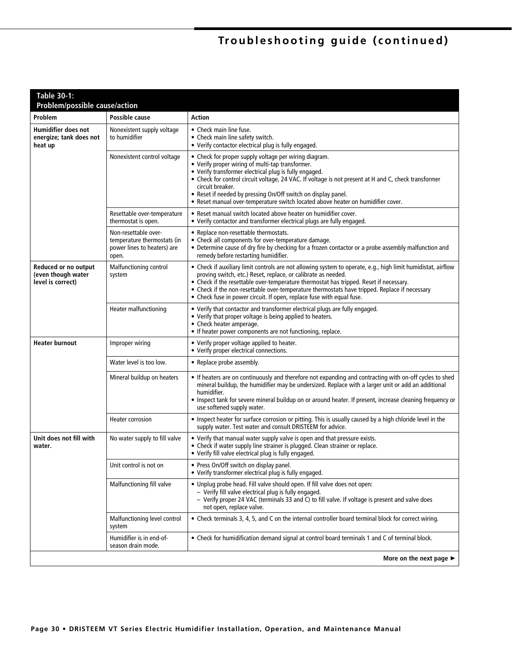| <b>Table 30-1:</b><br>Problem/possible cause/action              |                                                                                             |                                                                                                                                                                                                                                                                                                                                                                                                                                                      |  |  |
|------------------------------------------------------------------|---------------------------------------------------------------------------------------------|------------------------------------------------------------------------------------------------------------------------------------------------------------------------------------------------------------------------------------------------------------------------------------------------------------------------------------------------------------------------------------------------------------------------------------------------------|--|--|
| Problem                                                          | Possible cause                                                                              | Action                                                                                                                                                                                                                                                                                                                                                                                                                                               |  |  |
| <b>Humidifier does not</b><br>energize; tank does not<br>heat up | Nonexistent supply voltage<br>to humidifier                                                 | • Check main line fuse.<br>• Check main line safety switch.<br>• Verify contactor electrical plug is fully engaged.                                                                                                                                                                                                                                                                                                                                  |  |  |
|                                                                  | Nonexistent control voltage                                                                 | • Check for proper supply voltage per wiring diagram.<br>• Verify proper wiring of multi-tap transformer.<br>• Verify transformer electrical plug is fully engaged.<br>• Check for control circuit voltage, 24 VAC. If voltage is not present at H and C, check transformer<br>circuit breaker.<br>• Reset if needed by pressing On/Off switch on display panel.<br>. Reset manual over-temperature switch located above heater on humidifier cover. |  |  |
|                                                                  | Resettable over-temperature<br>thermostat is open.                                          | • Reset manual switch located above heater on humidifier cover.<br>• Verify contactor and transformer electrical plugs are fully engaged.                                                                                                                                                                                                                                                                                                            |  |  |
|                                                                  | Non-resettable over-<br>temperature thermostats (in<br>power lines to heaters) are<br>open. | • Replace non-resettable thermostats.<br>• Check all components for over-temperature damage.<br>• Determine cause of dry fire by checking for a frozen contactor or a probe assembly malfunction and<br>remedy before restarting humidifier.                                                                                                                                                                                                         |  |  |
| Reduced or no output<br>(even though water<br>level is correct)  | Malfunctioning control<br>system                                                            | • Check if auxiliary limit controls are not allowing system to operate, e.g., high limit humidistat, airflow<br>proving switch, etc.) Reset, replace, or calibrate as needed.<br>• Check if the resettable over-temperature thermostat has tripped. Reset if necessary.<br>• Check if the non-resettable over-temperature thermostats have tripped. Replace if necessary<br>• Check fuse in power circuit. If open, replace fuse with equal fuse.    |  |  |
|                                                                  | <b>Heater malfunctioning</b>                                                                | • Verify that contactor and transformer electrical plugs are fully engaged.<br>• Verify that proper voltage is being applied to heaters.<br>• Check heater amperage.<br>• If heater power components are not functioning, replace.                                                                                                                                                                                                                   |  |  |
| <b>Heater burnout</b>                                            | Improper wiring                                                                             | • Verify proper voltage applied to heater.<br>• Verify proper electrical connections.                                                                                                                                                                                                                                                                                                                                                                |  |  |
|                                                                  | Water level is too low.                                                                     | • Replace probe assembly.                                                                                                                                                                                                                                                                                                                                                                                                                            |  |  |
|                                                                  | Mineral buildup on heaters                                                                  | • If heaters are on continuously and therefore not expanding and contracting with on-off cycles to shed<br>mineral buildup, the humidifier may be undersized. Replace with a larger unit or add an additional<br>humidifier.<br>• Inspect tank for severe mineral buildup on or around heater. If present, increase cleaning frequency or<br>use softened supply water.                                                                              |  |  |
|                                                                  | Heater corrosion                                                                            | . Inspect heater for surface corrosion or pitting. This is usually caused by a high chloride level in the<br>supply water. Test water and consult DRISTEEM for advice.                                                                                                                                                                                                                                                                               |  |  |
| Unit does not fill with<br>water.                                | No water supply to fill valve                                                               | • Verify that manual water supply valve is open and that pressure exists.<br>• Check if water supply line strainer is plugged. Clean strainer or replace.<br>• Verify fill valve electrical plug is fully engaged.                                                                                                                                                                                                                                   |  |  |
|                                                                  | Unit control is not on                                                                      | • Press On/Off switch on display panel.<br>• Verify transformer electrical plug is fully engaged.                                                                                                                                                                                                                                                                                                                                                    |  |  |
|                                                                  | Malfunctioning fill valve                                                                   | . Unplug probe head. Fill valve should open. If fill valve does not open:<br>- Verify fill valve electrical plug is fully engaged.<br>- Verify proper 24 VAC (terminals 33 and C) to fill valve. If voltage is present and valve does<br>not open, replace valve.                                                                                                                                                                                    |  |  |
|                                                                  | Malfunctioning level control<br>system                                                      | • Check terminals 3, 4, 5, and C on the internal controller board terminal block for correct wiring.                                                                                                                                                                                                                                                                                                                                                 |  |  |
|                                                                  | Humidifier is in end-of-<br>season drain mode.                                              | • Check for humidification demand signal at control board terminals 1 and C of terminal block.                                                                                                                                                                                                                                                                                                                                                       |  |  |
|                                                                  |                                                                                             | More on the next page $\blacktriangleright$                                                                                                                                                                                                                                                                                                                                                                                                          |  |  |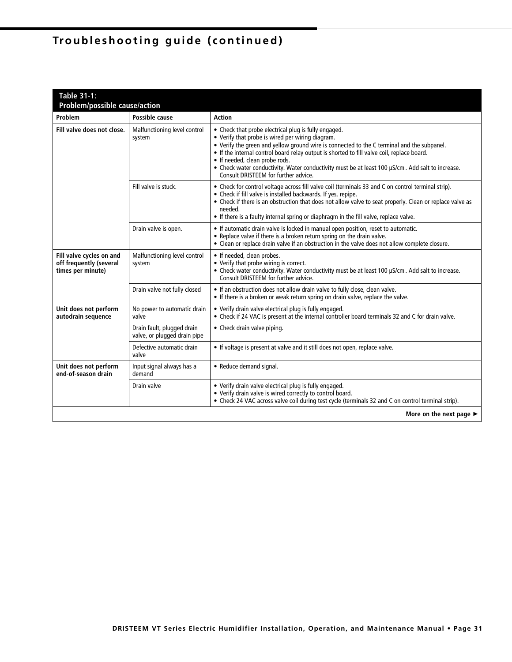| <b>Table 31-1:</b>                                                       |                                                            |                                                                                                                                                                                                                                                                                                                                                                                                                                                                                    |  |  |
|--------------------------------------------------------------------------|------------------------------------------------------------|------------------------------------------------------------------------------------------------------------------------------------------------------------------------------------------------------------------------------------------------------------------------------------------------------------------------------------------------------------------------------------------------------------------------------------------------------------------------------------|--|--|
| <b>Problem/possible cause/action</b>                                     |                                                            |                                                                                                                                                                                                                                                                                                                                                                                                                                                                                    |  |  |
| Problem                                                                  | Possible cause                                             | <b>Action</b>                                                                                                                                                                                                                                                                                                                                                                                                                                                                      |  |  |
| Fill valve does not close.                                               | Malfunctioning level control<br>system                     | • Check that probe electrical plug is fully engaged.<br>• Verify that probe is wired per wiring diagram.<br>• Verify the green and yellow ground wire is connected to the C terminal and the subpanel.<br>. If the internal control board relay output is shorted to fill valve coil, replace board.<br>• If needed, clean probe rods.<br>• Check water conductivity. Water conductivity must be at least 100 µS/cm. Add salt to increase.<br>Consult DRISTEEM for further advice. |  |  |
|                                                                          | Fill valve is stuck.                                       | • Check for control voltage across fill valve coil (terminals 33 and C on control terminal strip).<br>• Check if fill valve is installed backwards. If yes, repipe.<br>• Check if there is an obstruction that does not allow valve to seat properly. Clean or replace valve as<br>needed.<br>• If there is a faulty internal spring or diaphragm in the fill valve, replace valve.                                                                                                |  |  |
|                                                                          | Drain valve is open.                                       | . If automatic drain valve is locked in manual open position, reset to automatic.<br>• Replace valve if there is a broken return spring on the drain valve.<br>• Clean or replace drain valve if an obstruction in the valve does not allow complete closure.                                                                                                                                                                                                                      |  |  |
| Fill valve cycles on and<br>off frequently (several<br>times per minute) | Malfunctioning level control<br>system                     | • If needed, clean probes.<br>• Verify that probe wiring is correct.<br>• Check water conductivity. Water conductivity must be at least 100 µS/cm. Add salt to increase.<br>Consult DRISTEEM for further advice.                                                                                                                                                                                                                                                                   |  |  |
|                                                                          | Drain valve not fully closed                               | • If an obstruction does not allow drain valve to fully close, clean valve.<br>• If there is a broken or weak return spring on drain valve, replace the valve.                                                                                                                                                                                                                                                                                                                     |  |  |
| Unit does not perform<br>autodrain sequence                              | No power to automatic drain<br>valve                       | • Verify drain valve electrical plug is fully engaged.<br>• Check if 24 VAC is present at the internal controller board terminals 32 and C for drain valve.                                                                                                                                                                                                                                                                                                                        |  |  |
|                                                                          | Drain fault, plugged drain<br>valve, or plugged drain pipe | • Check drain valve piping.                                                                                                                                                                                                                                                                                                                                                                                                                                                        |  |  |
|                                                                          | Defective automatic drain<br>valve                         | . If voltage is present at valve and it still does not open, replace valve.                                                                                                                                                                                                                                                                                                                                                                                                        |  |  |
| Unit does not perform<br>end-of-season drain                             | Input signal always has a<br>demand                        | • Reduce demand signal.                                                                                                                                                                                                                                                                                                                                                                                                                                                            |  |  |
|                                                                          | Drain valve                                                | • Verify drain valve electrical plug is fully engaged.<br>• Verify drain valve is wired correctly to control board.<br>• Check 24 VAC across valve coil during test cycle (terminals 32 and C on control terminal strip).                                                                                                                                                                                                                                                          |  |  |
|                                                                          |                                                            | More on the next page $\blacktriangleright$                                                                                                                                                                                                                                                                                                                                                                                                                                        |  |  |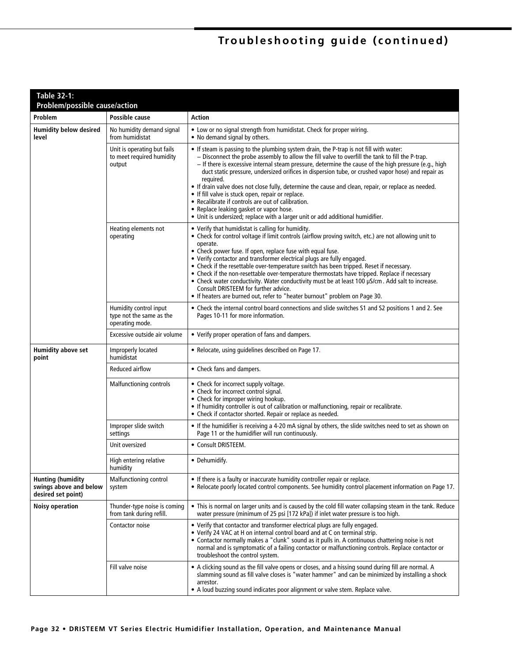| <b>Table 32-1:</b><br>Problem/possible cause/action                      |                                                                       |                                                                                                                                                                                                                                                                                                                                                                                                                                                                                                                                                                                                                                                                                                                                                                      |  |
|--------------------------------------------------------------------------|-----------------------------------------------------------------------|----------------------------------------------------------------------------------------------------------------------------------------------------------------------------------------------------------------------------------------------------------------------------------------------------------------------------------------------------------------------------------------------------------------------------------------------------------------------------------------------------------------------------------------------------------------------------------------------------------------------------------------------------------------------------------------------------------------------------------------------------------------------|--|
| <b>Problem</b>                                                           | Possible cause                                                        | <b>Action</b>                                                                                                                                                                                                                                                                                                                                                                                                                                                                                                                                                                                                                                                                                                                                                        |  |
| <b>Humidity below desired</b><br>level                                   | No humidity demand signal<br>from humidistat                          | • Low or no signal strength from humidistat. Check for proper wiring.<br>• No demand signal by others.                                                                                                                                                                                                                                                                                                                                                                                                                                                                                                                                                                                                                                                               |  |
|                                                                          | Unit is operating but fails<br>to meet required humidity<br>output    | • If steam is passing to the plumbing system drain, the P-trap is not fill with water:<br>- Disconnect the probe assembly to allow the fill valve to overfill the tank to fill the P-trap.<br>- If there is excessive internal steam pressure, determine the cause of the high pressure (e.g., high<br>duct static pressure, undersized orifices in dispersion tube, or crushed vapor hose) and repair as<br>required.<br>• If drain valve does not close fully, determine the cause and clean, repair, or replace as needed.<br>• If fill valve is stuck open, repair or replace.<br>• Recalibrate if controls are out of calibration.<br>• Replace leaking gasket or vapor hose.<br>• Unit is undersized; replace with a larger unit or add additional humidifier. |  |
|                                                                          | Heating elements not<br>operating                                     | • Verify that humidistat is calling for humidity.<br>• Check for control voltage if limit controls (airflow proving switch, etc.) are not allowing unit to<br>operate.<br>• Check power fuse. If open, replace fuse with equal fuse.<br>• Verify contactor and transformer electrical plugs are fully engaged.<br>• Check if the resettable over-temperature switch has been tripped. Reset if necessary.<br>• Check if the non-resettable over-temperature thermostats have tripped. Replace if necessary<br>• Check water conductivity. Water conductivity must be at least 100 µS/cm. Add salt to increase.<br>Consult DRISTEEM for further advice.<br>• If heaters are burned out, refer to "heater burnout" problem on Page 30.                                 |  |
|                                                                          | Humidity control input<br>type not the same as the<br>operating mode. | • Check the internal control board connections and slide switches S1 and S2 positions 1 and 2. See<br>Pages 10-11 for more information.                                                                                                                                                                                                                                                                                                                                                                                                                                                                                                                                                                                                                              |  |
|                                                                          | Excessive outside air volume                                          | • Verify proper operation of fans and dampers.                                                                                                                                                                                                                                                                                                                                                                                                                                                                                                                                                                                                                                                                                                                       |  |
| <b>Humidity above set</b><br>point                                       | Improperly located<br>humidistat                                      | . Relocate, using guidelines described on Page 17.                                                                                                                                                                                                                                                                                                                                                                                                                                                                                                                                                                                                                                                                                                                   |  |
|                                                                          | Reduced airflow                                                       | • Check fans and dampers.                                                                                                                                                                                                                                                                                                                                                                                                                                                                                                                                                                                                                                                                                                                                            |  |
|                                                                          | Malfunctioning controls                                               | • Check for incorrect supply voltage.<br>• Check for incorrect control signal.<br>• Check for improper wiring hookup.<br>• If humidity controller is out of calibration or malfunctioning, repair or recalibrate.<br>• Check if contactor shorted. Repair or replace as needed.                                                                                                                                                                                                                                                                                                                                                                                                                                                                                      |  |
|                                                                          | Improper slide switch<br>settings                                     | • If the humidifier is receiving a 4-20 mA signal by others, the slide switches need to set as shown on<br>Page 11 or the humidifier will run continuously.                                                                                                                                                                                                                                                                                                                                                                                                                                                                                                                                                                                                          |  |
|                                                                          | Unit oversized                                                        | • Consult DRISTEEM.                                                                                                                                                                                                                                                                                                                                                                                                                                                                                                                                                                                                                                                                                                                                                  |  |
|                                                                          | High entering relative<br>humidity                                    | • Dehumidify.                                                                                                                                                                                                                                                                                                                                                                                                                                                                                                                                                                                                                                                                                                                                                        |  |
| <b>Hunting (humidity</b><br>swings above and below<br>desired set point) | Malfunctioning control<br>system                                      | • If there is a faulty or inaccurate humidity controller repair or replace.<br>. Relocate poorly located control components. See humidity control placement information on Page 17                                                                                                                                                                                                                                                                                                                                                                                                                                                                                                                                                                                   |  |
| <b>Noisy operation</b>                                                   | Thunder-type noise is coming<br>from tank during refill.              | • This is normal on larger units and is caused by the cold fill water collapsing steam in the tank. Reduce<br>water pressure (minimum of 25 psi [172 kPa]) if inlet water pressure is too high.                                                                                                                                                                                                                                                                                                                                                                                                                                                                                                                                                                      |  |
|                                                                          | Contactor noise                                                       | • Verify that contactor and transformer electrical plugs are fully engaged.<br>• Verify 24 VAC at H on internal control board and at C on terminal strip.<br>• Contactor normally makes a "clunk" sound as it pulls in. A continuous chattering noise is not<br>normal and is symptomatic of a failing contactor or malfunctioning controls. Replace contactor or<br>troubleshoot the control system.                                                                                                                                                                                                                                                                                                                                                                |  |
|                                                                          | Fill valve noise                                                      | • A clicking sound as the fill valve opens or closes, and a hissing sound during fill are normal. A<br>slamming sound as fill valve closes is "water hammer" and can be minimized by installing a shock<br>arrestor.<br>• A loud buzzing sound indicates poor alignment or valve stem. Replace valve.                                                                                                                                                                                                                                                                                                                                                                                                                                                                |  |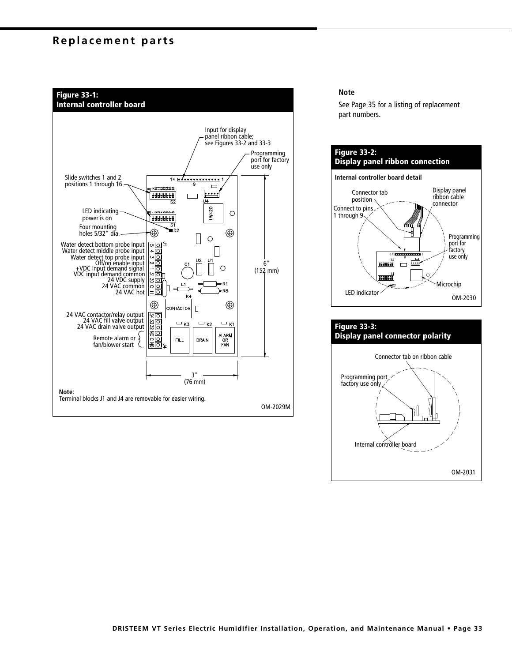# **Replacement parts**



#### **Note**

See Page 35 for a listing of replacement part numbers.



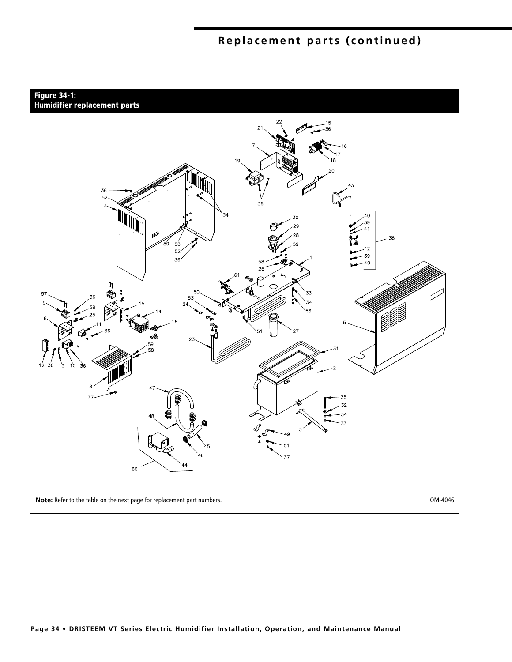# **Replacement parts (continued)**

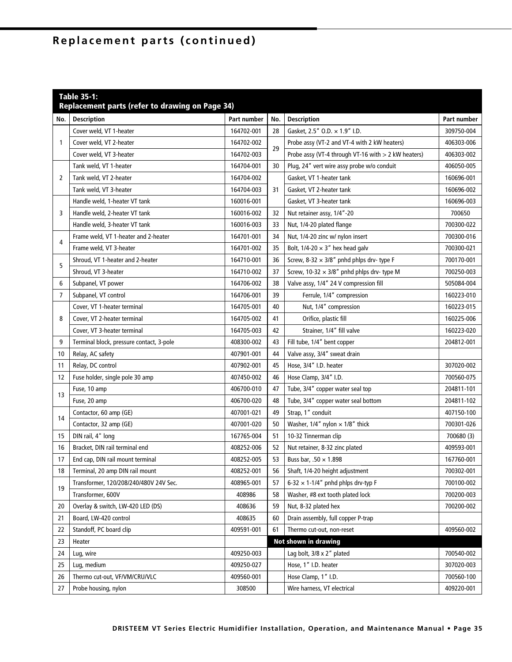# Replacement parts (continued)

| <b>Table 35-1:</b><br>Replacement parts (refer to drawing on Page 34) |                                          |             |     |                                                     |             |
|-----------------------------------------------------------------------|------------------------------------------|-------------|-----|-----------------------------------------------------|-------------|
| No.                                                                   | <b>Description</b>                       | Part number | No. | <b>Description</b>                                  | Part number |
| 1                                                                     | Cover weld, VT 1-heater                  | 164702-001  | 28  | Gasket, 2.5" O.D. × 1.9" I.D.                       | 309750-004  |
|                                                                       | Cover weld, VT 2-heater                  | 164702-002  | 29  | Probe assy (VT-2 and VT-4 with 2 kW heaters)        | 406303-006  |
|                                                                       | Cover weld, VT 3-heater                  | 164702-003  |     | Probe assy (VT-4 through VT-16 with > 2 kW heaters) | 406303-002  |
|                                                                       | Tank weld, VT 1-heater                   | 164704-001  | 30  | Plug, 24" vert wire assy probe w/o conduit          | 406050-005  |
| 2                                                                     | Tank weld, VT 2-heater                   | 164704-002  | 31  | Gasket, VT 1-heater tank                            | 160696-001  |
|                                                                       | Tank weld, VT 3-heater                   | 164704-003  |     | Gasket, VT 2-heater tank                            | 160696-002  |
|                                                                       | Handle weld, 1-heater VT tank            | 160016-001  |     | Gasket, VT 3-heater tank                            | 160696-003  |
| 3                                                                     | Handle weld, 2-heater VT tank            | 160016-002  | 32  | Nut retainer assy, 1/4"-20                          | 700650      |
|                                                                       | Handle weld, 3-heater VT tank            | 160016-003  | 33  | Nut, 1/4-20 plated flange                           | 700300-022  |
|                                                                       | Frame weld, VT 1-heater and 2-heater     | 164701-001  | 34  | Nut, 1/4-20 zinc w/ nylon insert                    | 700300-016  |
| 4                                                                     | Frame weld, VT 3-heater                  | 164701-002  | 35  | Bolt, $1/4 - 20 \times 3''$ hex head galv           | 700300-021  |
| 5                                                                     | Shroud, VT 1-heater and 2-heater         | 164710-001  | 36  | Screw, 8-32 $\times$ 3/8" pnhd phlps drv- type F    | 700170-001  |
|                                                                       | Shroud, VT 3-heater                      | 164710-002  | 37  | Screw, $10-32 \times 3/8$ " pnhd phlps drv- type M  | 700250-003  |
| 6                                                                     | Subpanel, VT power                       | 164706-002  | 38  | Valve assy, 1/4" 24 V compression fill              | 505084-004  |
| $\overline{7}$                                                        | Subpanel, VT control                     | 164706-001  | 39  | Ferrule, 1/4" compression                           | 160223-010  |
|                                                                       | Cover, VT 1-heater terminal              | 164705-001  | 40  | Nut, 1/4" compression                               | 160223-015  |
| 8                                                                     | Cover, VT 2-heater terminal              | 164705-002  | 41  | Orifice, plastic fill                               | 160225-006  |
|                                                                       | Cover, VT 3-heater terminal              | 164705-003  | 42  | Strainer, 1/4" fill valve                           | 160223-020  |
| 9                                                                     | Terminal block, pressure contact, 3-pole | 408300-002  | 43  | Fill tube, 1/4" bent copper                         | 204812-001  |
| 10                                                                    | Relay, AC safety                         | 407901-001  | 44  | Valve assy, 3/4" sweat drain                        |             |
| 11                                                                    | Relay, DC control                        | 407902-001  | 45  | Hose, 3/4" I.D. heater                              | 307020-002  |
| 12                                                                    | Fuse holder, single pole 30 amp          | 407450-002  | 46  | Hose Clamp, 3/4" I.D.                               | 700560-075  |
| 13                                                                    | Fuse, 10 amp                             | 406700-010  | 47  | Tube, 3/4" copper water seal top                    | 204811-101  |
|                                                                       | Fuse, 20 amp                             | 406700-020  | 48  | Tube, 3/4" copper water seal bottom                 | 204811-102  |
| 14                                                                    | Contactor, 60 amp (GE)                   | 407001-021  | 49  | Strap, 1" conduit                                   | 407150-100  |
|                                                                       | Contactor, 32 amp (GE)                   | 407001-020  | 50  | Washer, $1/4$ " nylon $\times$ 1/8" thick           | 700301-026  |
| 15                                                                    | DIN rail, 4" long                        | 167765-004  | 51  | 10-32 Tinnerman clip                                | 700680 (3)  |
| 16                                                                    | Bracket, DIN rail terminal end           | 408252-006  | 52  | Nut retainer, 8-32 zinc plated                      | 409593-001  |
| 17                                                                    | End cap, DIN rail mount terminal         | 408252-005  | 53  | Buss bar, .50 $\times$ 1.898                        | 167760-001  |
| 18                                                                    | Terminal, 20 amp DIN rail mount          | 408252-001  | 56  | Shaft, 1/4-20 height adjustment                     | 700302-001  |
| 19                                                                    | Transformer, 120/208/240/480V 24V Sec.   | 408965-001  | 57  | 6-32 $\times$ 1-1/4" pnhd phlps drv-typ F           | 700100-002  |
|                                                                       | Transformer, 600V                        | 408986      | 58  | Washer, #8 ext tooth plated lock                    | 700200-003  |
| 20                                                                    | Overlay & switch, LW-420 LED (DS)        | 408636      | 59  | Nut, 8-32 plated hex                                | 700200-002  |
| 21                                                                    | Board, LW-420 control                    | 408635      | 60  | Drain assembly, full copper P-trap                  |             |
| 22                                                                    | Standoff, PC board clip                  | 409591-001  | 61  | Thermo cut-out, non-reset                           | 409560-002  |
| 23                                                                    | Heater                                   |             |     | Not shown in drawing                                |             |
| 24                                                                    | Lug, wire                                | 409250-003  |     | Lag bolt, 3/8 x 2" plated                           | 700540-002  |
| 25                                                                    | Lug, medium                              | 409250-027  |     | Hose, 1" I.D. heater                                | 307020-003  |
| 26                                                                    | Thermo cut-out, VF/VM/CRU/VLC            | 409560-001  |     | Hose Clamp, 1" I.D.                                 | 700560-100  |
| 27                                                                    | Probe housing, nylon                     | 308500      |     | Wire harness, VT electrical                         | 409220-001  |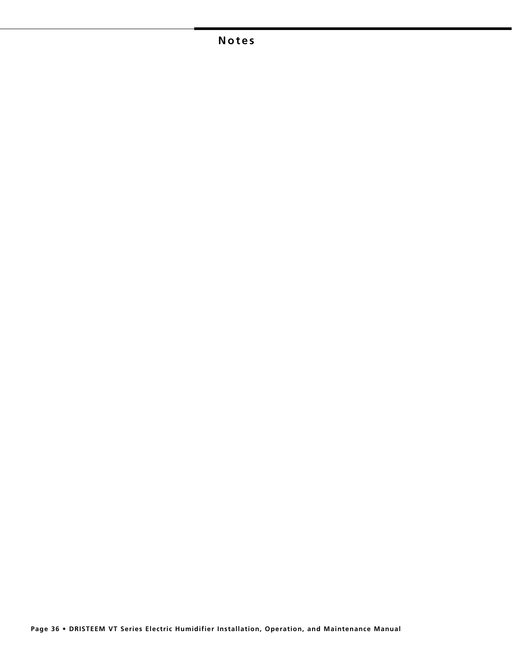# **Notes**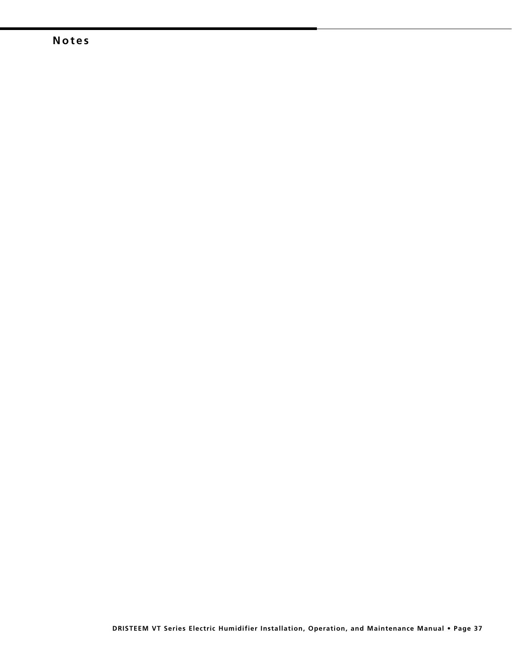# **Notes**